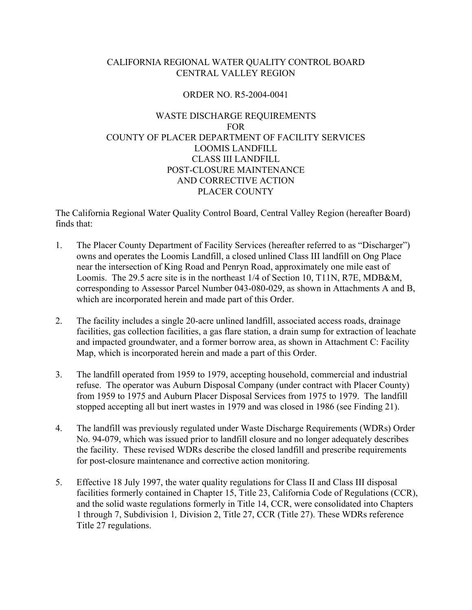# CALIFORNIA REGIONAL WATER QUALITY CONTROL BOARD CENTRAL VALLEY REGION

## ORDER NO. R5-2004-0041

# WASTE DISCHARGE REQUIREMENTS FOR COUNTY OF PLACER DEPARTMENT OF FACILITY SERVICES LOOMIS LANDFILL CLASS III LANDFILL POST-CLOSURE MAINTENANCE AND CORRECTIVE ACTION PLACER COUNTY

The California Regional Water Quality Control Board, Central Valley Region (hereafter Board) finds that:

- 1. The Placer County Department of Facility Services (hereafter referred to as "Discharger") owns and operates the Loomis Landfill, a closed unlined Class III landfill on Ong Place near the intersection of King Road and Penryn Road, approximately one mile east of Loomis. The 29.5 acre site is in the northeast 1/4 of Section 10, T11N, R7E, MDB&M, corresponding to Assessor Parcel Number 043-080-029, as shown in Attachments A and B, which are incorporated herein and made part of this Order.
- 2. The facility includes a single 20-acre unlined landfill, associated access roads, drainage facilities, gas collection facilities, a gas flare station, a drain sump for extraction of leachate and impacted groundwater, and a former borrow area, as shown in Attachment C: Facility Map, which is incorporated herein and made a part of this Order.
- 3. The landfill operated from 1959 to 1979, accepting household, commercial and industrial refuse. The operator was Auburn Disposal Company (under contract with Placer County) from 1959 to 1975 and Auburn Placer Disposal Services from 1975 to 1979. The landfill stopped accepting all but inert wastes in 1979 and was closed in 1986 (see Finding 21).
- 4. The landfill was previously regulated under Waste Discharge Requirements (WDRs) Order No. 94-079, which was issued prior to landfill closure and no longer adequately describes the facility. These revised WDRs describe the closed landfill and prescribe requirements for post-closure maintenance and corrective action monitoring.
- 5. Effective 18 July 1997, the water quality regulations for Class II and Class III disposal facilities formerly contained in Chapter 15, Title 23, California Code of Regulations (CCR), and the solid waste regulations formerly in Title 14, CCR, were consolidated into Chapters 1 through 7, Subdivision 1*,* Division 2, Title 27, CCR (Title 27). These WDRs reference Title 27 regulations.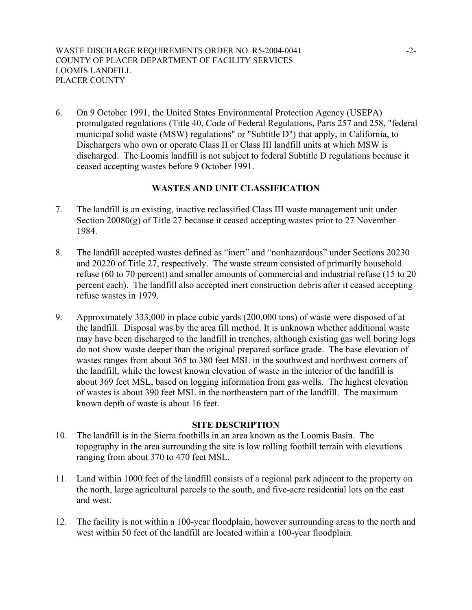6. On 9 October 1991, the United States Environmental Protection Agency (USEPA) promulgated regulations (Title 40, Code of Federal Regulations, Parts 257 and 258, "federal municipal solid waste (MSW) regulations" or "Subtitle D") that apply, in California, to Dischargers who own or operate Class II or Class III landfill units at which MSW is discharged. The Loomis landfill is not subject to federal Subtitle D regulations because it ceased accepting wastes before 9 October 1991.

# **WASTES AND UNIT CLASSIFICATION**

- 7. The landfill is an existing, inactive reclassified Class III waste management unit under Section 20080(g) of Title 27 because it ceased accepting wastes prior to 27 November 1984.
- 8. The landfill accepted wastes defined as "inert" and "nonhazardous" under Sections 20230 and 20220 of Title 27, respectively. The waste stream consisted of primarily household refuse (60 to 70 percent) and smaller amounts of commercial and industrial refuse (15 to 20 percent each). The landfill also accepted inert construction debris after it ceased accepting refuse wastes in 1979.
- 9. Approximately 333,000 in place cubic yards (200,000 tons) of waste were disposed of at the landfill. Disposal was by the area fill method. It is unknown whether additional waste may have been discharged to the landfill in trenches, although existing gas well boring logs do not show waste deeper than the original prepared surface grade. The base elevation of wastes ranges from about 365 to 380 feet MSL in the southwest and northwest corners of the landfill, while the lowest known elevation of waste in the interior of the landfill is about 369 feet MSL, based on logging information from gas wells. The highest elevation of wastes is about 390 feet MSL in the northeastern part of the landfill. The maximum known depth of waste is about 16 feet.

## **SITE DESCRIPTION**

- 10. The landfill is in the Sierra foothills in an area known as the Loomis Basin. The topography in the area surrounding the site is low rolling foothill terrain with elevations ranging from about 370 to 470 feet MSL.
- 11. Land within 1000 feet of the landfill consists of a regional park adjacent to the property on the north, large agricultural parcels to the south, and five-acre residential lots on the east and west.
- 12. The facility is not within a 100-year floodplain, however surrounding areas to the north and west within 50 feet of the landfill are located within a 100-year floodplain.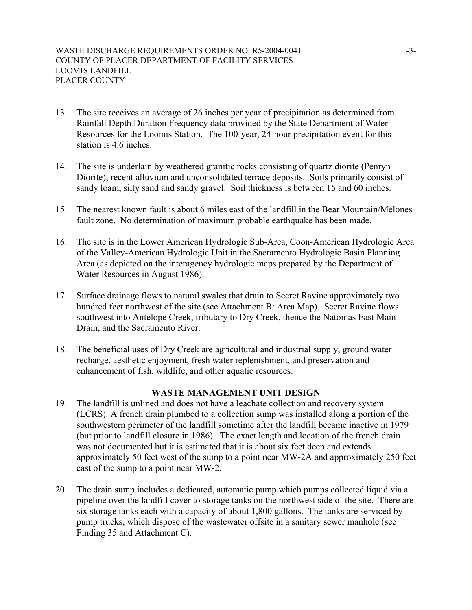- 13. The site receives an average of 26 inches per year of precipitation as determined from Rainfall Depth Duration Frequency data provided by the State Department of Water Resources for the Loomis Station. The 100-year, 24-hour precipitation event for this station is 4.6 inches.
- 14. The site is underlain by weathered granitic rocks consisting of quartz diorite (Penryn Diorite), recent alluvium and unconsolidated terrace deposits. Soils primarily consist of sandy loam, silty sand and sandy gravel. Soil thickness is between 15 and 60 inches.
- 15. The nearest known fault is about 6 miles east of the landfill in the Bear Mountain/Melones fault zone. No determination of maximum probable earthquake has been made.
- 16. The site is in the Lower American Hydrologic Sub-Area, Coon-American Hydrologic Area of the Valley-American Hydrologic Unit in the Sacramento Hydrologic Basin Planning Area (as depicted on the interagency hydrologic maps prepared by the Department of Water Resources in August 1986).
- 17. Surface drainage flows to natural swales that drain to Secret Ravine approximately two hundred feet northwest of the site (see Attachment B: Area Map). Secret Ravine flows southwest into Antelope Creek, tributary to Dry Creek, thence the Natomas East Main Drain, and the Sacramento River.
- 18. The beneficial uses of Dry Creek are agricultural and industrial supply, ground water recharge, aesthetic enjoyment, fresh water replenishment, and preservation and enhancement of fish, wildlife, and other aquatic resources.

## **WASTE MANAGEMENT UNIT DESIGN**

- 19. The landfill is unlined and does not have a leachate collection and recovery system (LCRS). A french drain plumbed to a collection sump was installed along a portion of the southwestern perimeter of the landfill sometime after the landfill became inactive in 1979 (but prior to landfill closure in 1986). The exact length and location of the french drain was not documented but it is estimated that it is about six feet deep and extends approximately 50 feet west of the sump to a point near MW-2A and approximately 250 feet east of the sump to a point near MW-2.
- 20. The drain sump includes a dedicated, automatic pump which pumps collected liquid via a pipeline over the landfill cover to storage tanks on the northwest side of the site. There are six storage tanks each with a capacity of about 1,800 gallons. The tanks are serviced by pump trucks, which dispose of the wastewater offsite in a sanitary sewer manhole (see Finding 35 and Attachment C).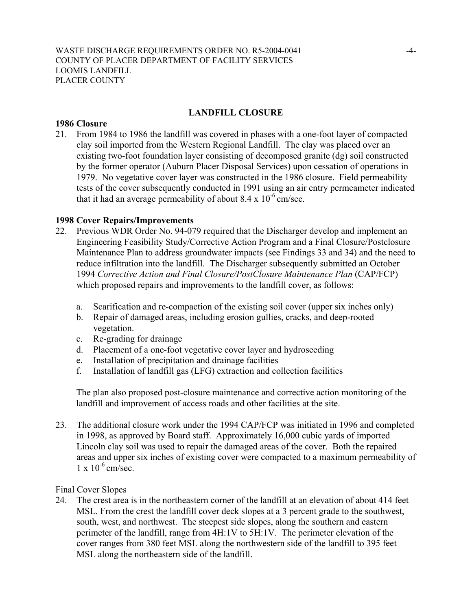## **LANDFILL CLOSURE**

#### **1986 Closure**

21. From 1984 to 1986 the landfill was covered in phases with a one-foot layer of compacted clay soil imported from the Western Regional Landfill. The clay was placed over an existing two-foot foundation layer consisting of decomposed granite (dg) soil constructed by the former operator (Auburn Placer Disposal Services) upon cessation of operations in 1979. No vegetative cover layer was constructed in the 1986 closure. Field permeability tests of the cover subsequently conducted in 1991 using an air entry permeameter indicated that it had an average permeability of about  $8.4 \times 10^{-6}$  cm/sec.

#### **1998 Cover Repairs/Improvements**

- 22. Previous WDR Order No. 94-079 required that the Discharger develop and implement an Engineering Feasibility Study/Corrective Action Program and a Final Closure/Postclosure Maintenance Plan to address groundwater impacts (see Findings 33 and 34) and the need to reduce infiltration into the landfill. The Discharger subsequently submitted an October 1994 *Corrective Action and Final Closure/PostClosure Maintenance Plan* (CAP/FCP) which proposed repairs and improvements to the landfill cover, as follows:
	- a. Scarification and re-compaction of the existing soil cover (upper six inches only)
	- b. Repair of damaged areas, including erosion gullies, cracks, and deep-rooted vegetation.
	- c. Re-grading for drainage
	- d. Placement of a one-foot vegetative cover layer and hydroseeding
	- e. Installation of precipitation and drainage facilities
	- f. Installation of landfill gas (LFG) extraction and collection facilities

The plan also proposed post-closure maintenance and corrective action monitoring of the landfill and improvement of access roads and other facilities at the site.

23. The additional closure work under the 1994 CAP/FCP was initiated in 1996 and completed in 1998, as approved by Board staff. Approximately 16,000 cubic yards of imported Lincoln clay soil was used to repair the damaged areas of the cover. Both the repaired areas and upper six inches of existing cover were compacted to a maximum permeability of  $1 \times 10^{-6}$  cm/sec.

#### Final Cover Slopes

24. The crest area is in the northeastern corner of the landfill at an elevation of about 414 feet MSL. From the crest the landfill cover deck slopes at a 3 percent grade to the southwest, south, west, and northwest. The steepest side slopes, along the southern and eastern perimeter of the landfill, range from 4H:1V to 5H:1V. The perimeter elevation of the cover ranges from 380 feet MSL along the northwestern side of the landfill to 395 feet MSL along the northeastern side of the landfill.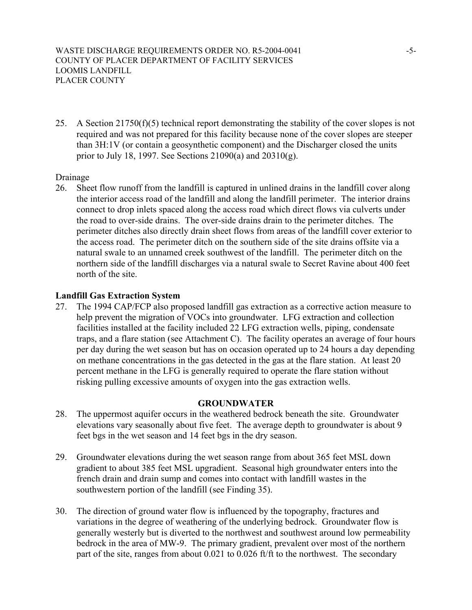WASTE DISCHARGE REQUIREMENTS ORDER NO. R5-2004-0041 -5-COUNTY OF PLACER DEPARTMENT OF FACILITY SERVICES LOOMIS LANDFILL PLACER COUNTY

25. A Section 21750(f)(5) technical report demonstrating the stability of the cover slopes is not required and was not prepared for this facility because none of the cover slopes are steeper than 3H:1V (or contain a geosynthetic component) and the Discharger closed the units prior to July 18, 1997. See Sections 21090(a) and 20310(g).

#### Drainage

26. Sheet flow runoff from the landfill is captured in unlined drains in the landfill cover along the interior access road of the landfill and along the landfill perimeter. The interior drains connect to drop inlets spaced along the access road which direct flows via culverts under the road to over-side drains. The over-side drains drain to the perimeter ditches. The perimeter ditches also directly drain sheet flows from areas of the landfill cover exterior to the access road. The perimeter ditch on the southern side of the site drains offsite via a natural swale to an unnamed creek southwest of the landfill. The perimeter ditch on the northern side of the landfill discharges via a natural swale to Secret Ravine about 400 feet north of the site.

#### **Landfill Gas Extraction System**

27. The 1994 CAP/FCP also proposed landfill gas extraction as a corrective action measure to help prevent the migration of VOCs into groundwater. LFG extraction and collection facilities installed at the facility included 22 LFG extraction wells, piping, condensate traps, and a flare station (see Attachment C). The facility operates an average of four hours per day during the wet season but has on occasion operated up to 24 hours a day depending on methane concentrations in the gas detected in the gas at the flare station. At least 20 percent methane in the LFG is generally required to operate the flare station without risking pulling excessive amounts of oxygen into the gas extraction wells.

## **GROUNDWATER**

- 28. The uppermost aquifer occurs in the weathered bedrock beneath the site. Groundwater elevations vary seasonally about five feet. The average depth to groundwater is about 9 feet bgs in the wet season and 14 feet bgs in the dry season.
- 29. Groundwater elevations during the wet season range from about 365 feet MSL down gradient to about 385 feet MSL upgradient. Seasonal high groundwater enters into the french drain and drain sump and comes into contact with landfill wastes in the southwestern portion of the landfill (see Finding 35).
- 30. The direction of ground water flow is influenced by the topography, fractures and variations in the degree of weathering of the underlying bedrock. Groundwater flow is generally westerly but is diverted to the northwest and southwest around low permeability bedrock in the area of MW-9. The primary gradient, prevalent over most of the northern part of the site, ranges from about 0.021 to 0.026 ft/ft to the northwest. The secondary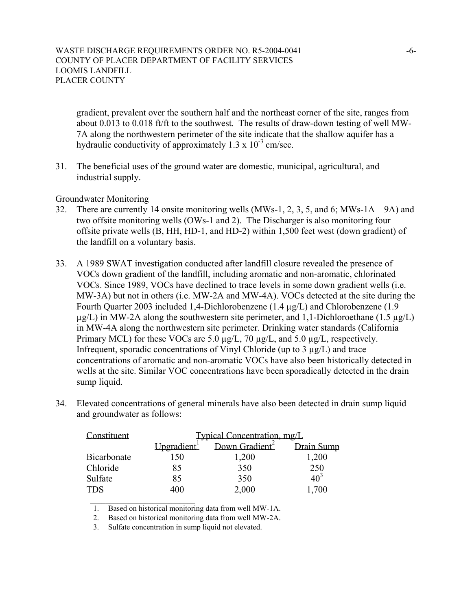gradient, prevalent over the southern half and the northeast corner of the site, ranges from about 0.013 to 0.018 ft/ft to the southwest. The results of draw-down testing of well MW-7A along the northwestern perimeter of the site indicate that the shallow aquifer has a hydraulic conductivity of approximately  $1.3 \times 10^{-3}$  cm/sec.

31. The beneficial uses of the ground water are domestic, municipal, agricultural, and industrial supply.

Groundwater Monitoring

- 32. There are currently 14 onsite monitoring wells (MWs-1, 2, 3, 5, and 6; MWs-1A 9A) and two offsite monitoring wells (OWs-1 and 2). The Discharger is also monitoring four offsite private wells (B, HH, HD-1, and HD-2) within 1,500 feet west (down gradient) of the landfill on a voluntary basis.
- 33. A 1989 SWAT investigation conducted after landfill closure revealed the presence of VOCs down gradient of the landfill, including aromatic and non-aromatic, chlorinated VOCs. Since 1989, VOCs have declined to trace levels in some down gradient wells (i.e. MW-3A) but not in others (i.e. MW-2A and MW-4A). VOCs detected at the site during the Fourth Quarter 2003 included 1,4-Dichlorobenzene (1.4 µg/L) and Chlorobenzene (1.9  $\mu$ g/L) in MW-2A along the southwestern site perimeter, and 1,1-Dichloroethane (1.5  $\mu$ g/L) in MW-4A along the northwestern site perimeter. Drinking water standards (California Primary MCL) for these VOCs are 5.0  $\mu$ g/L, 70  $\mu$ g/L, and 5.0  $\mu$ g/L, respectively. Infrequent, sporadic concentrations of Vinyl Chloride (up to  $3 \mu g/L$ ) and trace concentrations of aromatic and non-aromatic VOCs have also been historically detected in wells at the site. Similar VOC concentrations have been sporadically detected in the drain sump liquid.
- 34. Elevated concentrations of general minerals have also been detected in drain sump liquid and groundwater as follows:

| Constituent | Typical Concentration, mg/L |                            |                 |
|-------------|-----------------------------|----------------------------|-----------------|
|             | Upgradient <sup>1</sup>     | Down Gradient <sup>2</sup> | Drain Sump      |
| Bicarbonate | 150                         | 1,200                      | 1,200           |
| Chloride    | 85                          | 350                        | 250             |
| Sulfate     | 85                          | 350                        | 10 <sup>3</sup> |
| <b>TDS</b>  | 400                         | 2,000                      | 1,700           |

1. Based on historical monitoring data from well MW-1A.

2. Based on historical monitoring data from well MW-2A.

3. Sulfate concentration in sump liquid not elevated.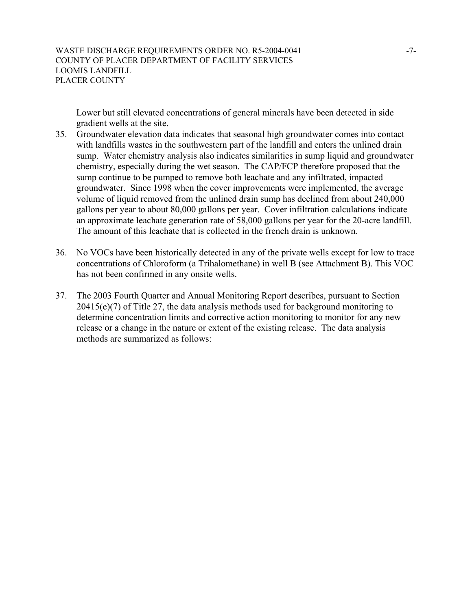Lower but still elevated concentrations of general minerals have been detected in side gradient wells at the site.

- 35. Groundwater elevation data indicates that seasonal high groundwater comes into contact with landfills wastes in the southwestern part of the landfill and enters the unlined drain sump. Water chemistry analysis also indicates similarities in sump liquid and groundwater chemistry, especially during the wet season. The CAP/FCP therefore proposed that the sump continue to be pumped to remove both leachate and any infiltrated, impacted groundwater. Since 1998 when the cover improvements were implemented, the average volume of liquid removed from the unlined drain sump has declined from about 240,000 gallons per year to about 80,000 gallons per year. Cover infiltration calculations indicate an approximate leachate generation rate of 58,000 gallons per year for the 20-acre landfill. The amount of this leachate that is collected in the french drain is unknown.
- 36. No VOCs have been historically detected in any of the private wells except for low to trace concentrations of Chloroform (a Trihalomethane) in well B (see Attachment B). This VOC has not been confirmed in any onsite wells.
- 37. The 2003 Fourth Quarter and Annual Monitoring Report describes, pursuant to Section 20415(e)(7) of Title 27, the data analysis methods used for background monitoring to determine concentration limits and corrective action monitoring to monitor for any new release or a change in the nature or extent of the existing release. The data analysis methods are summarized as follows: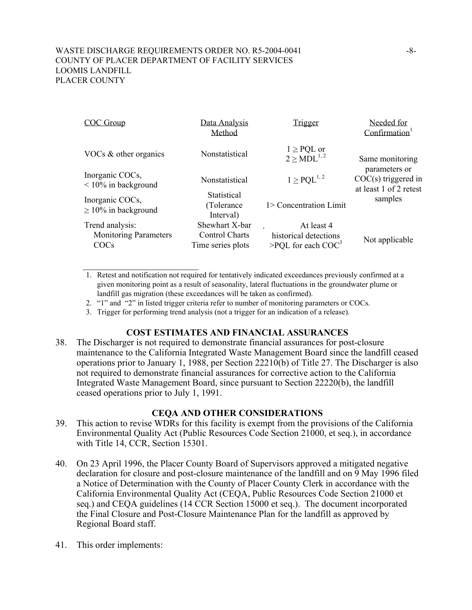#### WASTE DISCHARGE REQUIREMENTS ORDER NO. R5-2004-0041 -8-COUNTY OF PLACER DEPARTMENT OF FACILITY SERVICES LOOMIS LANDFILL PLACER COUNTY

 $\mathcal{L}_\text{max}$  , where  $\mathcal{L}_\text{max}$  , we have the set of  $\mathcal{L}_\text{max}$ 

| <b>COC Group</b>                                        | Data Analysis<br>Method                               | <b>Trigger</b>                                              | Needed for<br>Confirmation                                       |
|---------------------------------------------------------|-------------------------------------------------------|-------------------------------------------------------------|------------------------------------------------------------------|
| VOCs $&$ other organics                                 | Nonstatistical                                        | $1 \geq$ PQL or<br>$2 > MDL^{1,2}$                          | Same monitoring                                                  |
| Inorganic COCs,<br>$\leq 10\%$ in background            | Nonstatistical                                        | $1 \geq PQL^{1,2}$                                          | parameters or<br>$COC(s)$ triggered in<br>at least 1 of 2 retest |
| Inorganic COCs,<br>$\geq$ 10% in background             | Statistical<br>(Tolerance)<br>Interval)               | 1> Concentration Limit                                      | samples                                                          |
| Trend analysis:<br><b>Monitoring Parameters</b><br>COCs | Shewhart X-bar<br>Control Charts<br>Time series plots | At least 4<br>historical detections<br>>PQL for each $COC3$ | Not applicable                                                   |

- 1. Retest and notification not required for tentatively indicated exceedances previously confirmed at a given monitoring point as a result of seasonality, lateral fluctuations in the groundwater plume or landfill gas migration (these exceedances will be taken as confirmed).
- 2. "1" and "2" in listed trigger criteria refer to number of monitoring parameters or COCs.
- 3. Trigger for performing trend analysis (not a trigger for an indication of a release).

## **COST ESTIMATES AND FINANCIAL ASSURANCES**

38. The Discharger is not required to demonstrate financial assurances for post-closure maintenance to the California Integrated Waste Management Board since the landfill ceased operations prior to January 1, 1988, per Section 22210(b) of Title 27. The Discharger is also not required to demonstrate financial assurances for corrective action to the California Integrated Waste Management Board, since pursuant to Section 22220(b), the landfill ceased operations prior to July 1, 1991.

#### **CEQA AND OTHER CONSIDERATIONS**

- 39. This action to revise WDRs for this facility is exempt from the provisions of the California Environmental Quality Act (Public Resources Code Section 21000, et seq.), in accordance with Title 14, CCR, Section 15301.
- 40. On 23 April 1996, the Placer County Board of Supervisors approved a mitigated negative declaration for closure and post-closure maintenance of the landfill and on 9 May 1996 filed a Notice of Determination with the County of Placer County Clerk in accordance with the California Environmental Quality Act (CEQA, Public Resources Code Section 21000 et seq.) and CEQA guidelines (14 CCR Section 15000 et seq.). The document incorporated the Final Closure and Post-Closure Maintenance Plan for the landfill as approved by Regional Board staff.
- 41. This order implements: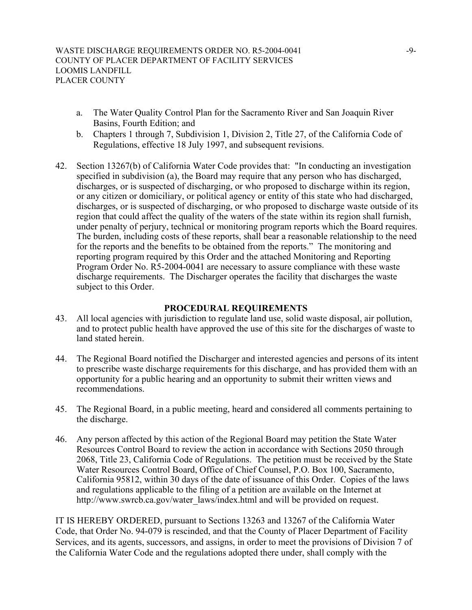- a. The Water Quality Control Plan for the Sacramento River and San Joaquin River Basins, Fourth Edition; and
- b. Chapters 1 through 7, Subdivision 1, Division 2, Title 27, of the California Code of Regulations, effective 18 July 1997, and subsequent revisions.
- 42. Section 13267(b) of California Water Code provides that: "In conducting an investigation specified in subdivision (a), the Board may require that any person who has discharged, discharges, or is suspected of discharging, or who proposed to discharge within its region, or any citizen or domiciliary, or political agency or entity of this state who had discharged, discharges, or is suspected of discharging, or who proposed to discharge waste outside of its region that could affect the quality of the waters of the state within its region shall furnish, under penalty of perjury, technical or monitoring program reports which the Board requires. The burden, including costs of these reports, shall bear a reasonable relationship to the need for the reports and the benefits to be obtained from the reports." The monitoring and reporting program required by this Order and the attached Monitoring and Reporting Program Order No. R5-2004-0041 are necessary to assure compliance with these waste discharge requirements. The Discharger operates the facility that discharges the waste subject to this Order.

#### **PROCEDURAL REQUIREMENTS**

- 43. All local agencies with jurisdiction to regulate land use, solid waste disposal, air pollution, and to protect public health have approved the use of this site for the discharges of waste to land stated herein.
- 44. The Regional Board notified the Discharger and interested agencies and persons of its intent to prescribe waste discharge requirements for this discharge, and has provided them with an opportunity for a public hearing and an opportunity to submit their written views and recommendations.
- 45. The Regional Board, in a public meeting, heard and considered all comments pertaining to the discharge.
- 46. Any person affected by this action of the Regional Board may petition the State Water Resources Control Board to review the action in accordance with Sections 2050 through 2068, Title 23, California Code of Regulations. The petition must be received by the State Water Resources Control Board, Office of Chief Counsel, P.O. Box 100, Sacramento, California 95812, within 30 days of the date of issuance of this Order. Copies of the laws and regulations applicable to the filing of a petition are available on the Internet at http://www.swrcb.ca.gov/water\_laws/index.html and will be provided on request.

IT IS HEREBY ORDERED, pursuant to Sections 13263 and 13267 of the California Water Code, that Order No. 94-079 is rescinded, and that the County of Placer Department of Facility Services, and its agents, successors, and assigns, in order to meet the provisions of Division 7 of the California Water Code and the regulations adopted there under, shall comply with the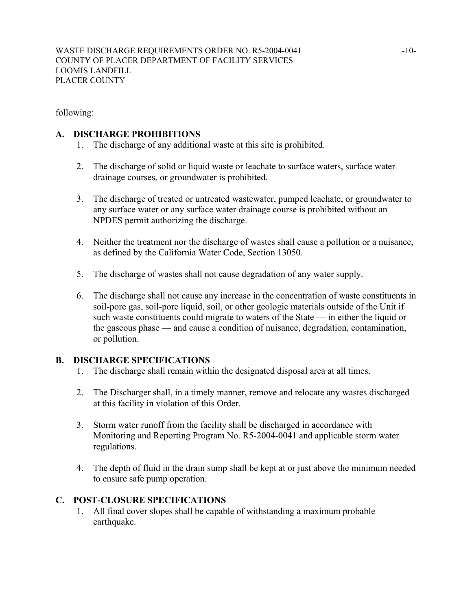following:

## **A. DISCHARGE PROHIBITIONS**

- 1. The discharge of any additional waste at this site is prohibited.
- 2. The discharge of solid or liquid waste or leachate to surface waters, surface water drainage courses, or groundwater is prohibited.
- 3. The discharge of treated or untreated wastewater, pumped leachate, or groundwater to any surface water or any surface water drainage course is prohibited without an NPDES permit authorizing the discharge.
- 4. Neither the treatment nor the discharge of wastes shall cause a pollution or a nuisance, as defined by the California Water Code, Section 13050.
- 5. The discharge of wastes shall not cause degradation of any water supply.
- 6. The discharge shall not cause any increase in the concentration of waste constituents in soil-pore gas, soil-pore liquid, soil, or other geologic materials outside of the Unit if such waste constituents could migrate to waters of the State — in either the liquid or the gaseous phase — and cause a condition of nuisance, degradation, contamination, or pollution.

# **B. DISCHARGE SPECIFICATIONS**

- 1. The discharge shall remain within the designated disposal area at all times.
- 2. The Discharger shall, in a timely manner, remove and relocate any wastes discharged at this facility in violation of this Order.
- 3. Storm water runoff from the facility shall be discharged in accordance with Monitoring and Reporting Program No. R5-2004-0041 and applicable storm water regulations.
- 4. The depth of fluid in the drain sump shall be kept at or just above the minimum needed to ensure safe pump operation.

# **C. POST-CLOSURE SPECIFICATIONS**

1. All final cover slopes shall be capable of withstanding a maximum probable earthquake.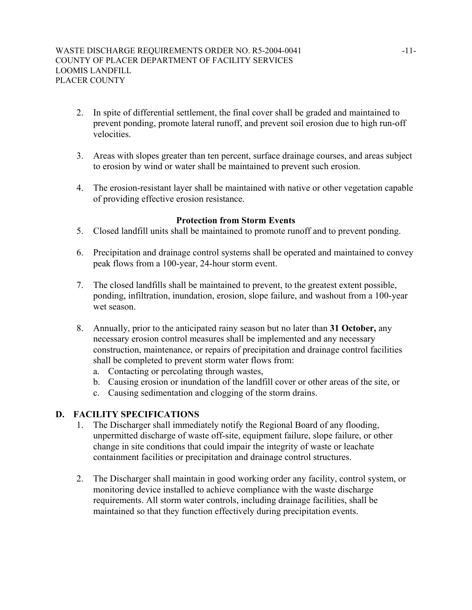- 2. In spite of differential settlement, the final cover shall be graded and maintained to prevent ponding, promote lateral runoff, and prevent soil erosion due to high run-off velocities.
- 3. Areas with slopes greater than ten percent, surface drainage courses, and areas subject to erosion by wind or water shall be maintained to prevent such erosion.
- 4. The erosion-resistant layer shall be maintained with native or other vegetation capable of providing effective erosion resistance.

## **Protection from Storm Events**

- 5. Closed landfill units shall be maintained to promote runoff and to prevent ponding.
- 6. Precipitation and drainage control systems shall be operated and maintained to convey peak flows from a 100-year, 24-hour storm event.
- 7. The closed landfills shall be maintained to prevent, to the greatest extent possible, ponding, infiltration, inundation, erosion, slope failure, and washout from a 100-year wet season.
- 8. Annually, prior to the anticipated rainy season but no later than **31 October,** any necessary erosion control measures shall be implemented and any necessary construction, maintenance, or repairs of precipitation and drainage control facilities shall be completed to prevent storm water flows from:
	- a. Contacting or percolating through wastes,
	- b. Causing erosion or inundation of the landfill cover or other areas of the site, or
	- c. Causing sedimentation and clogging of the storm drains.

## **D. FACILITY SPECIFICATIONS**

- 1. The Discharger shall immediately notify the Regional Board of any flooding, unpermitted discharge of waste off-site, equipment failure, slope failure, or other change in site conditions that could impair the integrity of waste or leachate containment facilities or precipitation and drainage control structures.
- 2. The Discharger shall maintain in good working order any facility, control system, or monitoring device installed to achieve compliance with the waste discharge requirements. All storm water controls, including drainage facilities, shall be maintained so that they function effectively during precipitation events.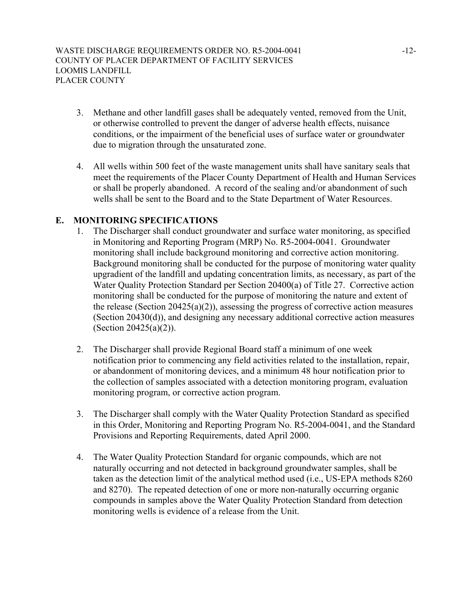- 3. Methane and other landfill gases shall be adequately vented, removed from the Unit, or otherwise controlled to prevent the danger of adverse health effects, nuisance conditions, or the impairment of the beneficial uses of surface water or groundwater due to migration through the unsaturated zone.
- 4. All wells within 500 feet of the waste management units shall have sanitary seals that meet the requirements of the Placer County Department of Health and Human Services or shall be properly abandoned. A record of the sealing and/or abandonment of such wells shall be sent to the Board and to the State Department of Water Resources.

## **E. MONITORING SPECIFICATIONS**

- 1. The Discharger shall conduct groundwater and surface water monitoring, as specified in Monitoring and Reporting Program (MRP) No. R5-2004-0041. Groundwater monitoring shall include background monitoring and corrective action monitoring. Background monitoring shall be conducted for the purpose of monitoring water quality upgradient of the landfill and updating concentration limits, as necessary, as part of the Water Quality Protection Standard per Section 20400(a) of Title 27. Corrective action monitoring shall be conducted for the purpose of monitoring the nature and extent of the release (Section 20425(a)(2)), assessing the progress of corrective action measures (Section 20430(d)), and designing any necessary additional corrective action measures (Section 20425(a)(2)).
- 2. The Discharger shall provide Regional Board staff a minimum of one week notification prior to commencing any field activities related to the installation, repair, or abandonment of monitoring devices, and a minimum 48 hour notification prior to the collection of samples associated with a detection monitoring program, evaluation monitoring program, or corrective action program.
- 3. The Discharger shall comply with the Water Quality Protection Standard as specified in this Order, Monitoring and Reporting Program No. R5-2004-0041, and the Standard Provisions and Reporting Requirements, dated April 2000.
- 4. The Water Quality Protection Standard for organic compounds, which are not naturally occurring and not detected in background groundwater samples, shall be taken as the detection limit of the analytical method used (i.e., US-EPA methods 8260 and 8270). The repeated detection of one or more non-naturally occurring organic compounds in samples above the Water Quality Protection Standard from detection monitoring wells is evidence of a release from the Unit.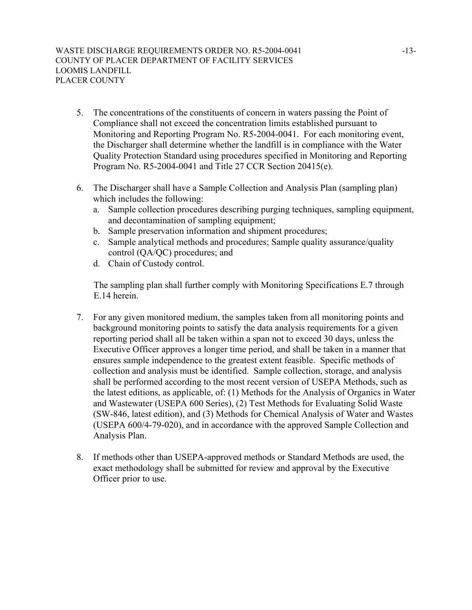- 5. The concentrations of the constituents of concern in waters passing the Point of Compliance shall not exceed the concentration limits established pursuant to Monitoring and Reporting Program No. R5-2004-0041. For each monitoring event, the Discharger shall determine whether the landfill is in compliance with the Water Quality Protection Standard using procedures specified in Monitoring and Reporting Program No. R5-2004-0041 and Title 27 CCR Section 20415(e).
- 6. The Discharger shall have a Sample Collection and Analysis Plan (sampling plan) which includes the following:
	- a. Sample collection procedures describing purging techniques, sampling equipment, and decontamination of sampling equipment;
	- b. Sample preservation information and shipment procedures;
	- c. Sample analytical methods and procedures; Sample quality assurance/quality control (QA/QC) procedures; and
	- d. Chain of Custody control.

The sampling plan shall further comply with Monitoring Specifications E.7 through E.14 herein.

- 7. For any given monitored medium, the samples taken from all monitoring points and background monitoring points to satisfy the data analysis requirements for a given reporting period shall all be taken within a span not to exceed 30 days, unless the Executive Officer approves a longer time period, and shall be taken in a manner that ensures sample independence to the greatest extent feasible. Specific methods of collection and analysis must be identified. Sample collection, storage, and analysis shall be performed according to the most recent version of USEPA Methods, such as the latest editions, as applicable, of: (1) Methods for the Analysis of Organics in Water and Wastewater (USEPA 600 Series), (2) Test Methods for Evaluating Solid Waste (SW-846, latest edition), and (3) Methods for Chemical Analysis of Water and Wastes (USEPA 600/4-79-020), and in accordance with the approved Sample Collection and Analysis Plan.
- 8. If methods other than USEPA-approved methods or Standard Methods are used, the exact methodology shall be submitted for review and approval by the Executive Officer prior to use.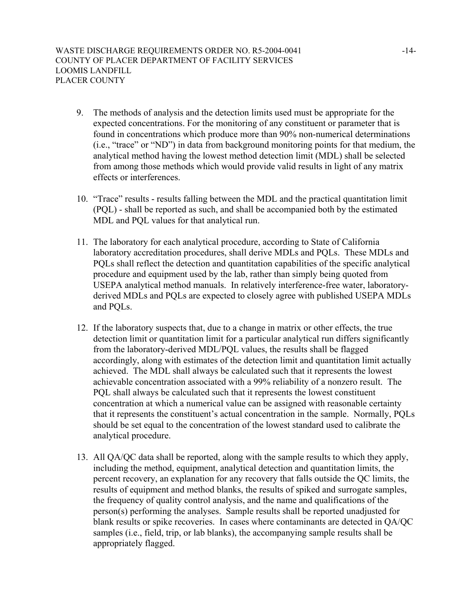- 9. The methods of analysis and the detection limits used must be appropriate for the expected concentrations. For the monitoring of any constituent or parameter that is found in concentrations which produce more than 90% non-numerical determinations (i.e., "trace" or "ND") in data from background monitoring points for that medium, the analytical method having the lowest method detection limit (MDL) shall be selected from among those methods which would provide valid results in light of any matrix effects or interferences.
- 10. "Trace" results results falling between the MDL and the practical quantitation limit (PQL) - shall be reported as such, and shall be accompanied both by the estimated MDL and PQL values for that analytical run.
- 11. The laboratory for each analytical procedure, according to State of California laboratory accreditation procedures, shall derive MDLs and PQLs. These MDLs and PQLs shall reflect the detection and quantitation capabilities of the specific analytical procedure and equipment used by the lab, rather than simply being quoted from USEPA analytical method manuals. In relatively interference-free water, laboratoryderived MDLs and PQLs are expected to closely agree with published USEPA MDLs and PQLs.
- 12. If the laboratory suspects that, due to a change in matrix or other effects, the true detection limit or quantitation limit for a particular analytical run differs significantly from the laboratory-derived MDL/PQL values, the results shall be flagged accordingly, along with estimates of the detection limit and quantitation limit actually achieved. The MDL shall always be calculated such that it represents the lowest achievable concentration associated with a 99% reliability of a nonzero result. The PQL shall always be calculated such that it represents the lowest constituent concentration at which a numerical value can be assigned with reasonable certainty that it represents the constituent's actual concentration in the sample. Normally, PQLs should be set equal to the concentration of the lowest standard used to calibrate the analytical procedure.
- 13. All QA/QC data shall be reported, along with the sample results to which they apply, including the method, equipment, analytical detection and quantitation limits, the percent recovery, an explanation for any recovery that falls outside the QC limits, the results of equipment and method blanks, the results of spiked and surrogate samples, the frequency of quality control analysis, and the name and qualifications of the person(s) performing the analyses. Sample results shall be reported unadjusted for blank results or spike recoveries. In cases where contaminants are detected in QA/QC samples (i.e., field, trip, or lab blanks), the accompanying sample results shall be appropriately flagged.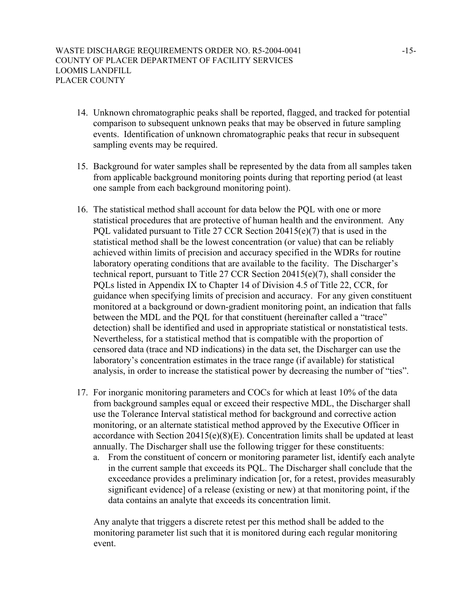- 14. Unknown chromatographic peaks shall be reported, flagged, and tracked for potential comparison to subsequent unknown peaks that may be observed in future sampling events. Identification of unknown chromatographic peaks that recur in subsequent sampling events may be required.
- 15. Background for water samples shall be represented by the data from all samples taken from applicable background monitoring points during that reporting period (at least one sample from each background monitoring point).
- 16. The statistical method shall account for data below the PQL with one or more statistical procedures that are protective of human health and the environment. Any PQL validated pursuant to Title 27 CCR Section 20415(e)(7) that is used in the statistical method shall be the lowest concentration (or value) that can be reliably achieved within limits of precision and accuracy specified in the WDRs for routine laboratory operating conditions that are available to the facility. The Discharger's technical report, pursuant to Title 27 CCR Section 20415(e)(7), shall consider the PQLs listed in Appendix IX to Chapter 14 of Division 4.5 of Title 22, CCR, for guidance when specifying limits of precision and accuracy. For any given constituent monitored at a background or down-gradient monitoring point, an indication that falls between the MDL and the PQL for that constituent (hereinafter called a "trace" detection) shall be identified and used in appropriate statistical or nonstatistical tests. Nevertheless, for a statistical method that is compatible with the proportion of censored data (trace and ND indications) in the data set, the Discharger can use the laboratory's concentration estimates in the trace range (if available) for statistical analysis, in order to increase the statistical power by decreasing the number of "ties".
- 17. For inorganic monitoring parameters and COCs for which at least 10% of the data from background samples equal or exceed their respective MDL, the Discharger shall use the Tolerance Interval statistical method for background and corrective action monitoring, or an alternate statistical method approved by the Executive Officer in accordance with Section 20415(e)(8)(E). Concentration limits shall be updated at least annually. The Discharger shall use the following trigger for these constituents:
	- a. From the constituent of concern or monitoring parameter list, identify each analyte in the current sample that exceeds its PQL. The Discharger shall conclude that the exceedance provides a preliminary indication [or, for a retest, provides measurably significant evidence] of a release (existing or new) at that monitoring point, if the data contains an analyte that exceeds its concentration limit.

Any analyte that triggers a discrete retest per this method shall be added to the monitoring parameter list such that it is monitored during each regular monitoring event.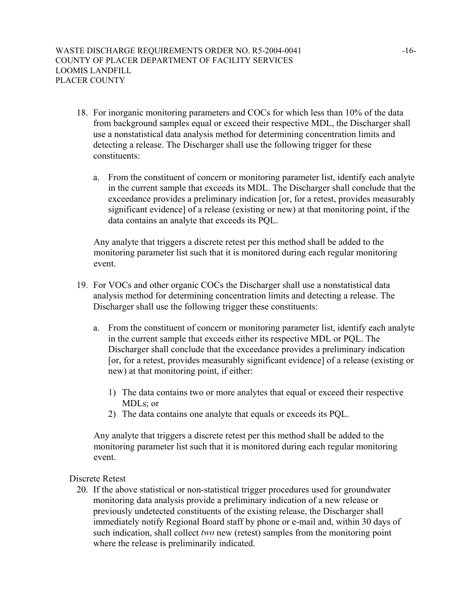- 18. For inorganic monitoring parameters and COCs for which less than 10% of the data from background samples equal or exceed their respective MDL, the Discharger shall use a nonstatistical data analysis method for determining concentration limits and detecting a release. The Discharger shall use the following trigger for these constituents:
	- a. From the constituent of concern or monitoring parameter list, identify each analyte in the current sample that exceeds its MDL. The Discharger shall conclude that the exceedance provides a preliminary indication [or, for a retest, provides measurably significant evidence] of a release (existing or new) at that monitoring point, if the data contains an analyte that exceeds its PQL.

Any analyte that triggers a discrete retest per this method shall be added to the monitoring parameter list such that it is monitored during each regular monitoring event.

- 19. For VOCs and other organic COCs the Discharger shall use a nonstatistical data analysis method for determining concentration limits and detecting a release. The Discharger shall use the following trigger these constituents:
	- a. From the constituent of concern or monitoring parameter list, identify each analyte in the current sample that exceeds either its respective MDL or PQL. The Discharger shall conclude that the exceedance provides a preliminary indication [or, for a retest, provides measurably significant evidence] of a release (existing or new) at that monitoring point, if either:
		- 1) The data contains two or more analytes that equal or exceed their respective MDL<sub>s</sub>; or
		- 2) The data contains one analyte that equals or exceeds its PQL.

Any analyte that triggers a discrete retest per this method shall be added to the monitoring parameter list such that it is monitored during each regular monitoring event.

Discrete Retest

20. If the above statistical or non-statistical trigger procedures used for groundwater monitoring data analysis provide a preliminary indication of a new release or previously undetected constituents of the existing release, the Discharger shall immediately notify Regional Board staff by phone or e-mail and, within 30 days of such indication, shall collect *two* new (retest) samples from the monitoring point where the release is preliminarily indicated.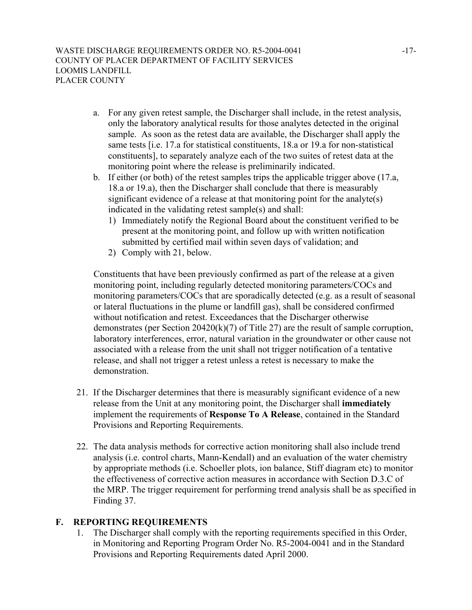- a. For any given retest sample, the Discharger shall include, in the retest analysis, only the laboratory analytical results for those analytes detected in the original sample. As soon as the retest data are available, the Discharger shall apply the same tests [i.e. 17.a for statistical constituents, 18.a or 19.a for non-statistical constituents], to separately analyze each of the two suites of retest data at the monitoring point where the release is preliminarily indicated.
- b. If either (or both) of the retest samples trips the applicable trigger above (17.a, 18.a or 19.a), then the Discharger shall conclude that there is measurably significant evidence of a release at that monitoring point for the analyte(s) indicated in the validating retest sample(s) and shall:
	- 1) Immediately notify the Regional Board about the constituent verified to be present at the monitoring point, and follow up with written notification submitted by certified mail within seven days of validation; and
	- 2) Comply with 21, below.

Constituents that have been previously confirmed as part of the release at a given monitoring point, including regularly detected monitoring parameters/COCs and monitoring parameters/COCs that are sporadically detected (e.g. as a result of seasonal or lateral fluctuations in the plume or landfill gas), shall be considered confirmed without notification and retest. Exceedances that the Discharger otherwise demonstrates (per Section 20420(k)(7) of Title 27) are the result of sample corruption, laboratory interferences, error, natural variation in the groundwater or other cause not associated with a release from the unit shall not trigger notification of a tentative release, and shall not trigger a retest unless a retest is necessary to make the demonstration.

- 21. If the Discharger determines that there is measurably significant evidence of a new release from the Unit at any monitoring point, the Discharger shall **immediately** implement the requirements of **Response To A Release**, contained in the Standard Provisions and Reporting Requirements.
- 22. The data analysis methods for corrective action monitoring shall also include trend analysis (i.e. control charts, Mann-Kendall) and an evaluation of the water chemistry by appropriate methods (i.e. Schoeller plots, ion balance, Stiff diagram etc) to monitor the effectiveness of corrective action measures in accordance with Section D.3.C of the MRP. The trigger requirement for performing trend analysis shall be as specified in Finding 37.

# **F. REPORTING REQUIREMENTS**

1. The Discharger shall comply with the reporting requirements specified in this Order, in Monitoring and Reporting Program Order No. R5-2004-0041 and in the Standard Provisions and Reporting Requirements dated April 2000.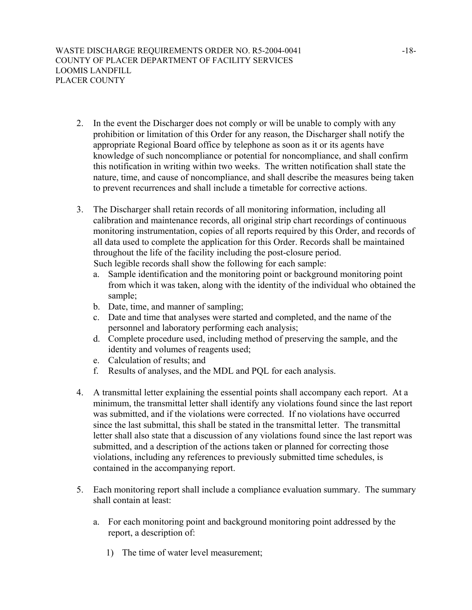- 2. In the event the Discharger does not comply or will be unable to comply with any prohibition or limitation of this Order for any reason, the Discharger shall notify the appropriate Regional Board office by telephone as soon as it or its agents have knowledge of such noncompliance or potential for noncompliance, and shall confirm this notification in writing within two weeks. The written notification shall state the nature, time, and cause of noncompliance, and shall describe the measures being taken to prevent recurrences and shall include a timetable for corrective actions.
- 3. The Discharger shall retain records of all monitoring information, including all calibration and maintenance records, all original strip chart recordings of continuous monitoring instrumentation, copies of all reports required by this Order, and records of all data used to complete the application for this Order. Records shall be maintained throughout the life of the facility including the post-closure period. Such legible records shall show the following for each sample:
	- a. Sample identification and the monitoring point or background monitoring point from which it was taken, along with the identity of the individual who obtained the sample;
	- b. Date, time, and manner of sampling;
	- c. Date and time that analyses were started and completed, and the name of the personnel and laboratory performing each analysis;
	- d. Complete procedure used, including method of preserving the sample, and the identity and volumes of reagents used;
	- e. Calculation of results; and
	- f. Results of analyses, and the MDL and PQL for each analysis.
- 4. A transmittal letter explaining the essential points shall accompany each report. At a minimum, the transmittal letter shall identify any violations found since the last report was submitted, and if the violations were corrected. If no violations have occurred since the last submittal, this shall be stated in the transmittal letter. The transmittal letter shall also state that a discussion of any violations found since the last report was submitted, and a description of the actions taken or planned for correcting those violations, including any references to previously submitted time schedules, is contained in the accompanying report.
- 5. Each monitoring report shall include a compliance evaluation summary. The summary shall contain at least:
	- a. For each monitoring point and background monitoring point addressed by the report, a description of:
		- 1) The time of water level measurement;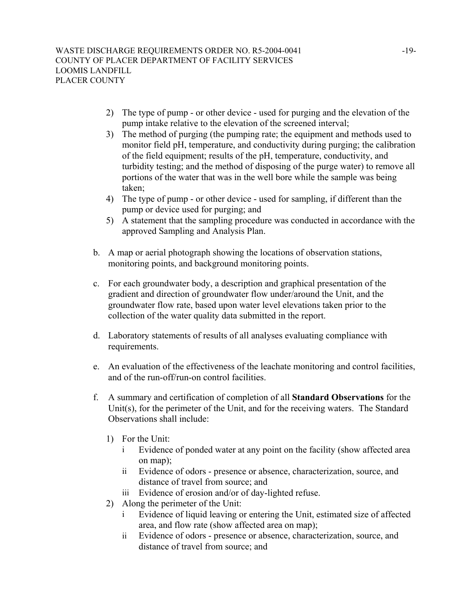- 2) The type of pump or other device used for purging and the elevation of the pump intake relative to the elevation of the screened interval;
- 3) The method of purging (the pumping rate; the equipment and methods used to monitor field pH, temperature, and conductivity during purging; the calibration of the field equipment; results of the pH, temperature, conductivity, and turbidity testing; and the method of disposing of the purge water) to remove all portions of the water that was in the well bore while the sample was being taken;
- 4) The type of pump or other device used for sampling, if different than the pump or device used for purging; and
- 5) A statement that the sampling procedure was conducted in accordance with the approved Sampling and Analysis Plan.
- b. A map or aerial photograph showing the locations of observation stations, monitoring points, and background monitoring points.
- c. For each groundwater body, a description and graphical presentation of the gradient and direction of groundwater flow under/around the Unit, and the groundwater flow rate, based upon water level elevations taken prior to the collection of the water quality data submitted in the report.
- d. Laboratory statements of results of all analyses evaluating compliance with requirements.
- e. An evaluation of the effectiveness of the leachate monitoring and control facilities, and of the run-off/run-on control facilities.
- f. A summary and certification of completion of all **Standard Observations** for the Unit(s), for the perimeter of the Unit, and for the receiving waters. The Standard Observations shall include:
	- 1) For the Unit:
		- i Evidence of ponded water at any point on the facility (show affected area on map);
		- ii Evidence of odors presence or absence, characterization, source, and distance of travel from source; and
		- iii Evidence of erosion and/or of day-lighted refuse.
	- 2) Along the perimeter of the Unit:
		- i Evidence of liquid leaving or entering the Unit, estimated size of affected area, and flow rate (show affected area on map);
		- ii Evidence of odors presence or absence, characterization, source, and distance of travel from source; and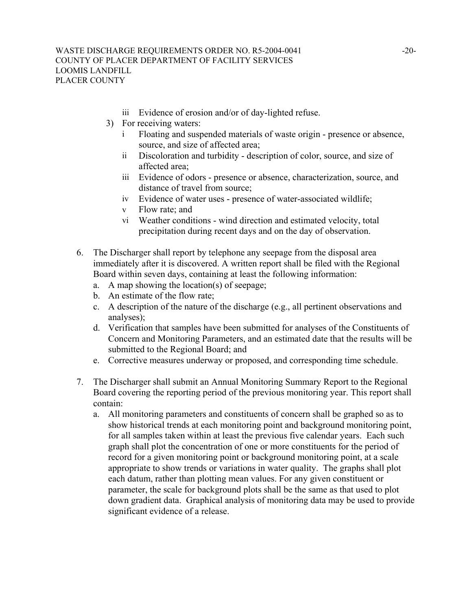- iii Evidence of erosion and/or of day-lighted refuse.
- 3) For receiving waters:
	- i Floating and suspended materials of waste origin presence or absence, source, and size of affected area;
	- ii Discoloration and turbidity description of color, source, and size of affected area;
	- iii Evidence of odors presence or absence, characterization, source, and distance of travel from source;
	- iv Evidence of water uses presence of water-associated wildlife;
	- v Flow rate; and
	- vi Weather conditions wind direction and estimated velocity, total precipitation during recent days and on the day of observation.
- 6. The Discharger shall report by telephone any seepage from the disposal area immediately after it is discovered. A written report shall be filed with the Regional Board within seven days, containing at least the following information:
	- a. A map showing the location(s) of seepage;
	- b. An estimate of the flow rate;
	- c. A description of the nature of the discharge (e.g., all pertinent observations and analyses);
	- d. Verification that samples have been submitted for analyses of the Constituents of Concern and Monitoring Parameters, and an estimated date that the results will be submitted to the Regional Board; and
	- e. Corrective measures underway or proposed, and corresponding time schedule.
- 7. The Discharger shall submit an Annual Monitoring Summary Report to the Regional Board covering the reporting period of the previous monitoring year. This report shall contain:
	- a. All monitoring parameters and constituents of concern shall be graphed so as to show historical trends at each monitoring point and background monitoring point, for all samples taken within at least the previous five calendar years. Each such graph shall plot the concentration of one or more constituents for the period of record for a given monitoring point or background monitoring point, at a scale appropriate to show trends or variations in water quality. The graphs shall plot each datum, rather than plotting mean values. For any given constituent or parameter, the scale for background plots shall be the same as that used to plot down gradient data. Graphical analysis of monitoring data may be used to provide significant evidence of a release.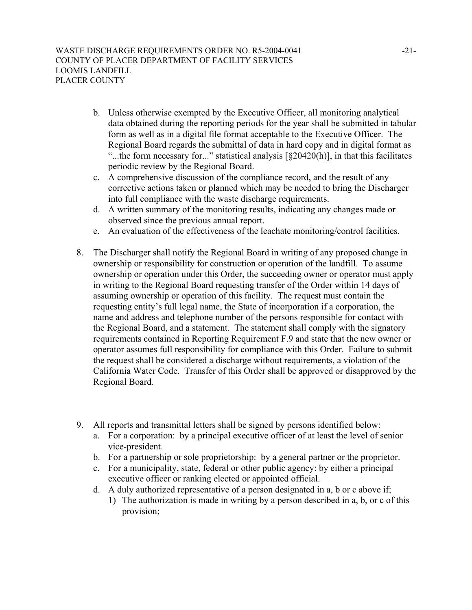- b. Unless otherwise exempted by the Executive Officer, all monitoring analytical data obtained during the reporting periods for the year shall be submitted in tabular form as well as in a digital file format acceptable to the Executive Officer. The Regional Board regards the submittal of data in hard copy and in digital format as "...the form necessary for..." statistical analysis  $\lceil \frac{20420(h)}{h} \rceil$ , in that this facilitates periodic review by the Regional Board.
- c. A comprehensive discussion of the compliance record, and the result of any corrective actions taken or planned which may be needed to bring the Discharger into full compliance with the waste discharge requirements.
- d. A written summary of the monitoring results, indicating any changes made or observed since the previous annual report.
- e. An evaluation of the effectiveness of the leachate monitoring/control facilities.
- 8. The Discharger shall notify the Regional Board in writing of any proposed change in ownership or responsibility for construction or operation of the landfill. To assume ownership or operation under this Order, the succeeding owner or operator must apply in writing to the Regional Board requesting transfer of the Order within 14 days of assuming ownership or operation of this facility. The request must contain the requesting entity's full legal name, the State of incorporation if a corporation, the name and address and telephone number of the persons responsible for contact with the Regional Board, and a statement. The statement shall comply with the signatory requirements contained in Reporting Requirement F.9 and state that the new owner or operator assumes full responsibility for compliance with this Order. Failure to submit the request shall be considered a discharge without requirements, a violation of the California Water Code. Transfer of this Order shall be approved or disapproved by the Regional Board.
- 9. All reports and transmittal letters shall be signed by persons identified below:
	- a. For a corporation: by a principal executive officer of at least the level of senior vice-president.
	- b. For a partnership or sole proprietorship: by a general partner or the proprietor.
	- c. For a municipality, state, federal or other public agency: by either a principal executive officer or ranking elected or appointed official.
	- d. A duly authorized representative of a person designated in a, b or c above if;
		- 1) The authorization is made in writing by a person described in a, b, or c of this provision;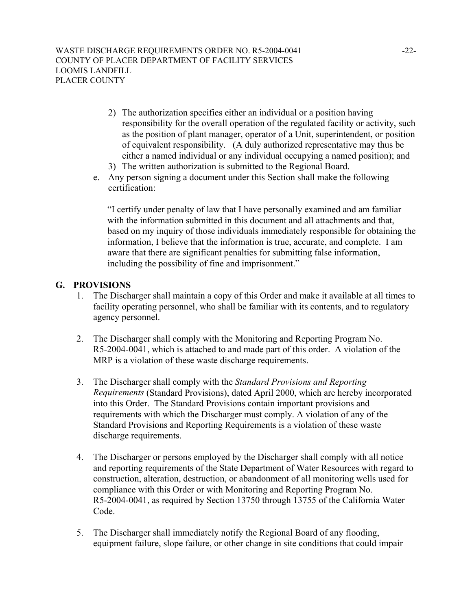- 2) The authorization specifies either an individual or a position having responsibility for the overall operation of the regulated facility or activity, such as the position of plant manager, operator of a Unit, superintendent, or position of equivalent responsibility. (A duly authorized representative may thus be either a named individual or any individual occupying a named position); and
- 3) The written authorization is submitted to the Regional Board.
- e. Any person signing a document under this Section shall make the following certification:

"I certify under penalty of law that I have personally examined and am familiar with the information submitted in this document and all attachments and that, based on my inquiry of those individuals immediately responsible for obtaining the information, I believe that the information is true, accurate, and complete. I am aware that there are significant penalties for submitting false information, including the possibility of fine and imprisonment."

## **G. PROVISIONS**

- 1. The Discharger shall maintain a copy of this Order and make it available at all times to facility operating personnel, who shall be familiar with its contents, and to regulatory agency personnel.
- 2. The Discharger shall comply with the Monitoring and Reporting Program No. R5-2004-0041, which is attached to and made part of this order. A violation of the MRP is a violation of these waste discharge requirements.
- 3. The Discharger shall comply with the *Standard Provisions and Reporting Requirements* (Standard Provisions), dated April 2000, which are hereby incorporated into this Order. The Standard Provisions contain important provisions and requirements with which the Discharger must comply. A violation of any of the Standard Provisions and Reporting Requirements is a violation of these waste discharge requirements.
- 4. The Discharger or persons employed by the Discharger shall comply with all notice and reporting requirements of the State Department of Water Resources with regard to construction, alteration, destruction, or abandonment of all monitoring wells used for compliance with this Order or with Monitoring and Reporting Program No. R5-2004-0041, as required by Section 13750 through 13755 of the California Water Code.
- 5. The Discharger shall immediately notify the Regional Board of any flooding, equipment failure, slope failure, or other change in site conditions that could impair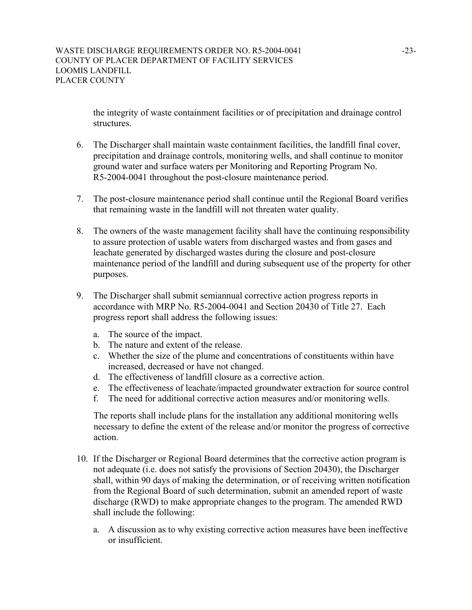the integrity of waste containment facilities or of precipitation and drainage control structures.

- 6. The Discharger shall maintain waste containment facilities, the landfill final cover, precipitation and drainage controls, monitoring wells, and shall continue to monitor ground water and surface waters per Monitoring and Reporting Program No. R5-2004-0041 throughout the post-closure maintenance period.
- 7. The post-closure maintenance period shall continue until the Regional Board verifies that remaining waste in the landfill will not threaten water quality.
- 8. The owners of the waste management facility shall have the continuing responsibility to assure protection of usable waters from discharged wastes and from gases and leachate generated by discharged wastes during the closure and post-closure maintenance period of the landfill and during subsequent use of the property for other purposes.
- 9. The Discharger shall submit semiannual corrective action progress reports in accordance with MRP No. R5-2004-0041 and Section 20430 of Title 27. Each progress report shall address the following issues:
	- a. The source of the impact.
	- b. The nature and extent of the release.
	- c. Whether the size of the plume and concentrations of constituents within have increased, decreased or have not changed.
	- d. The effectiveness of landfill closure as a corrective action.
	- e. The effectiveness of leachate/impacted groundwater extraction for source control
	- f. The need for additional corrective action measures and/or monitoring wells.

The reports shall include plans for the installation any additional monitoring wells necessary to define the extent of the release and/or monitor the progress of corrective action.

- 10. If the Discharger or Regional Board determines that the corrective action program is not adequate (i.e. does not satisfy the provisions of Section 20430), the Discharger shall, within 90 days of making the determination, or of receiving written notification from the Regional Board of such determination, submit an amended report of waste discharge (RWD) to make appropriate changes to the program. The amended RWD shall include the following:
	- a. A discussion as to why existing corrective action measures have been ineffective or insufficient.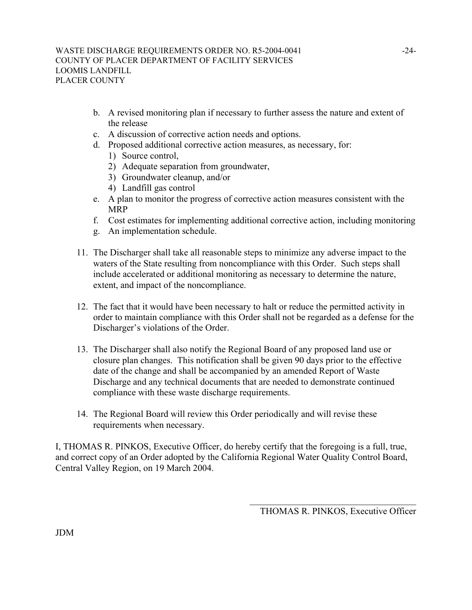- b. A revised monitoring plan if necessary to further assess the nature and extent of the release
- c. A discussion of corrective action needs and options.
- d. Proposed additional corrective action measures, as necessary, for:
	- 1) Source control,
	- 2) Adequate separation from groundwater,
	- 3) Groundwater cleanup, and/or
	- 4) Landfill gas control
- e. A plan to monitor the progress of corrective action measures consistent with the MRP
- f. Cost estimates for implementing additional corrective action, including monitoring
- g. An implementation schedule.
- 11. The Discharger shall take all reasonable steps to minimize any adverse impact to the waters of the State resulting from noncompliance with this Order. Such steps shall include accelerated or additional monitoring as necessary to determine the nature, extent, and impact of the noncompliance.
- 12. The fact that it would have been necessary to halt or reduce the permitted activity in order to maintain compliance with this Order shall not be regarded as a defense for the Discharger's violations of the Order.
- 13. The Discharger shall also notify the Regional Board of any proposed land use or closure plan changes. This notification shall be given 90 days prior to the effective date of the change and shall be accompanied by an amended Report of Waste Discharge and any technical documents that are needed to demonstrate continued compliance with these waste discharge requirements.
- 14. The Regional Board will review this Order periodically and will revise these requirements when necessary.

I, THOMAS R. PINKOS, Executive Officer, do hereby certify that the foregoing is a full, true, and correct copy of an Order adopted by the California Regional Water Quality Control Board, Central Valley Region, on 19 March 2004.

> $\mathcal{L}_\text{max}$ THOMAS R. PINKOS, Executive Officer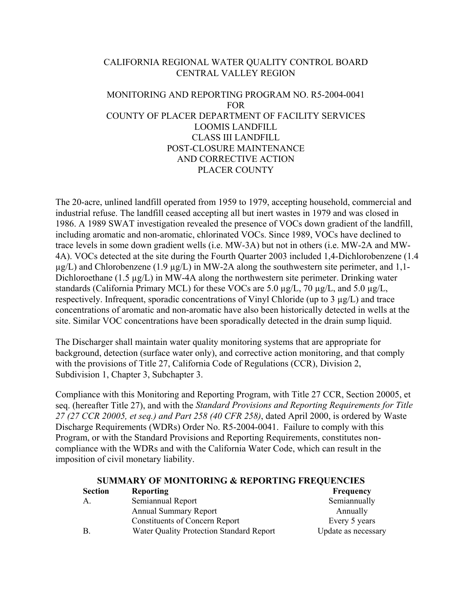## CALIFORNIA REGIONAL WATER QUALITY CONTROL BOARD CENTRAL VALLEY REGION

# MONITORING AND REPORTING PROGRAM NO. R5-2004-0041 FOR COUNTY OF PLACER DEPARTMENT OF FACILITY SERVICES LOOMIS LANDFILL CLASS III LANDFILL POST-CLOSURE MAINTENANCE AND CORRECTIVE ACTION PLACER COUNTY

The 20-acre, unlined landfill operated from 1959 to 1979, accepting household, commercial and industrial refuse. The landfill ceased accepting all but inert wastes in 1979 and was closed in 1986. A 1989 SWAT investigation revealed the presence of VOCs down gradient of the landfill, including aromatic and non-aromatic, chlorinated VOCs. Since 1989, VOCs have declined to trace levels in some down gradient wells (i.e. MW-3A) but not in others (i.e. MW-2A and MW-4A). VOCs detected at the site during the Fourth Quarter 2003 included 1,4-Dichlorobenzene (1.4  $\mu$ g/L) and Chlorobenzene (1.9  $\mu$ g/L) in MW-2A along the southwestern site perimeter, and 1,1-Dichloroethane (1.5 µg/L) in MW-4A along the northwestern site perimeter. Drinking water standards (California Primary MCL) for these VOCs are 5.0 µg/L, 70 µg/L, and 5.0 µg/L, respectively. Infrequent, sporadic concentrations of Vinyl Chloride (up to 3 µg/L) and trace concentrations of aromatic and non-aromatic have also been historically detected in wells at the site. Similar VOC concentrations have been sporadically detected in the drain sump liquid.

The Discharger shall maintain water quality monitoring systems that are appropriate for background, detection (surface water only), and corrective action monitoring, and that comply with the provisions of Title 27, California Code of Regulations (CCR), Division 2, Subdivision 1, Chapter 3, Subchapter 3.

Compliance with this Monitoring and Reporting Program, with Title 27 CCR, Section 20005, et seq. (hereafter Title 27), and with the *Standard Provisions and Reporting Requirements for Title 27 (27 CCR 20005, et seq.) and Part 258 (40 CFR 258)*, dated April 2000, is ordered by Waste Discharge Requirements (WDRs) Order No. R5-2004-0041. Failure to comply with this Program, or with the Standard Provisions and Reporting Requirements, constitutes noncompliance with the WDRs and with the California Water Code, which can result in the imposition of civil monetary liability.

| <b>SUMMARY OF MONITORING &amp; REPORTING FREQUENCIES</b> |                                                 |                     |  |
|----------------------------------------------------------|-------------------------------------------------|---------------------|--|
| <b>Section</b>                                           | <b>Reporting</b>                                | <b>Frequency</b>    |  |
| А.                                                       | Semiannual Report                               | Semiannually        |  |
|                                                          | <b>Annual Summary Report</b>                    | Annually            |  |
|                                                          | <b>Constituents of Concern Report</b>           | Every 5 years       |  |
| B.                                                       | <b>Water Quality Protection Standard Report</b> | Update as necessary |  |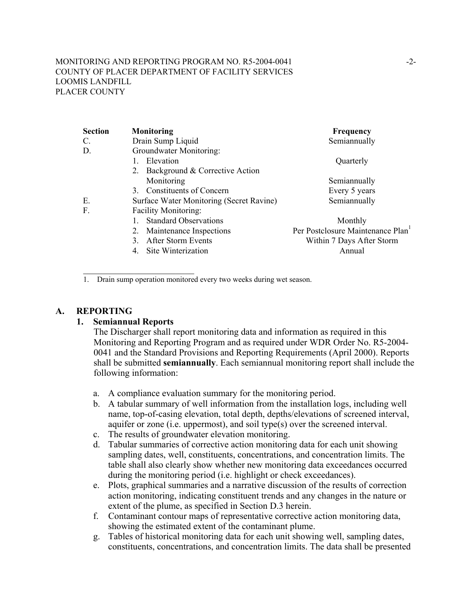#### MONITORING AND REPORTING PROGRAM NO. R5-2004-0041 -2-COUNTY OF PLACER DEPARTMENT OF FACILITY SERVICES LOOMIS LANDFILL PLACER COUNTY

| <b>Section</b> | <b>Monitoring</b>                        | Frequency                                     |
|----------------|------------------------------------------|-----------------------------------------------|
| C.             | Drain Sump Liquid                        | Semiannually                                  |
| D.             | Groundwater Monitoring:                  |                                               |
|                | Elevation                                | Quarterly                                     |
|                | Background & Corrective Action<br>2.     |                                               |
|                | Monitoring                               | Semiannually                                  |
|                | <b>Constituents of Concern</b><br>3.     | Every 5 years                                 |
| Е.             | Surface Water Monitoring (Secret Ravine) | Semiannually                                  |
| F.             | <b>Facility Monitoring:</b>              |                                               |
|                | <b>Standard Observations</b>             | Monthly                                       |
|                | Maintenance Inspections<br>2.            | Per Postclosure Maintenance Plan <sup>1</sup> |
|                | <b>After Storm Events</b><br>3           | Within 7 Days After Storm                     |
|                | Site Winterization<br>4.                 | Annual                                        |
|                |                                          |                                               |
|                |                                          |                                               |

1. Drain sump operation monitored every two weeks during wet season.

## **A. REPORTING**

## **1. Semiannual Reports**

The Discharger shall report monitoring data and information as required in this Monitoring and Reporting Program and as required under WDR Order No. R5-2004- 0041 and the Standard Provisions and Reporting Requirements (April 2000). Reports shall be submitted **semiannually**. Each semiannual monitoring report shall include the following information:

- a. A compliance evaluation summary for the monitoring period.
- b. A tabular summary of well information from the installation logs, including well name, top-of-casing elevation, total depth, depths/elevations of screened interval, aquifer or zone (i.e. uppermost), and soil type(s) over the screened interval.
- c. The results of groundwater elevation monitoring.
- d. Tabular summaries of corrective action monitoring data for each unit showing sampling dates, well, constituents, concentrations, and concentration limits. The table shall also clearly show whether new monitoring data exceedances occurred during the monitoring period (i.e. highlight or check exceedances).
- e. Plots, graphical summaries and a narrative discussion of the results of correction action monitoring, indicating constituent trends and any changes in the nature or extent of the plume, as specified in Section D.3 herein.
- f. Contaminant contour maps of representative corrective action monitoring data, showing the estimated extent of the contaminant plume.
- g. Tables of historical monitoring data for each unit showing well, sampling dates, constituents, concentrations, and concentration limits. The data shall be presented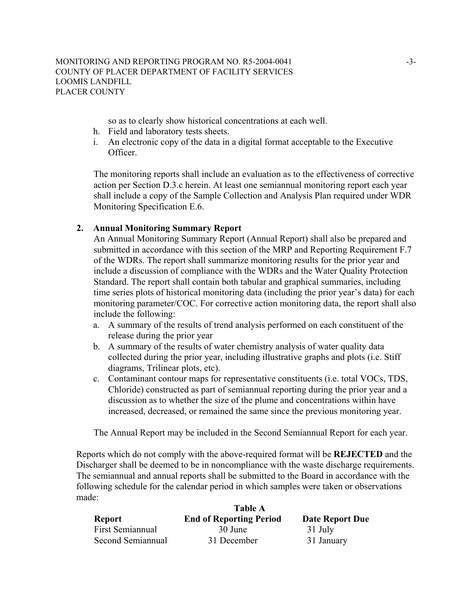so as to clearly show historical concentrations at each well.

- h. Field and laboratory tests sheets.
- i. An electronic copy of the data in a digital format acceptable to the Executive Officer.

The monitoring reports shall include an evaluation as to the effectiveness of corrective action per Section D.3.c herein. At least one semiannual monitoring report each year shall include a copy of the Sample Collection and Analysis Plan required under WDR Monitoring Specification E.6.

## **2. Annual Monitoring Summary Report**

An Annual Monitoring Summary Report (Annual Report) shall also be prepared and submitted in accordance with this section of the MRP and Reporting Requirement F.7 of the WDRs. The report shall summarize monitoring results for the prior year and include a discussion of compliance with the WDRs and the Water Quality Protection Standard. The report shall contain both tabular and graphical summaries, including time series plots of historical monitoring data (including the prior year's data) for each monitoring parameter/COC. For corrective action monitoring data, the report shall also include the following:

- a. A summary of the results of trend analysis performed on each constituent of the release during the prior year
- b. A summary of the results of water chemistry analysis of water quality data collected during the prior year, including illustrative graphs and plots (i.e. Stiff diagrams, Trilinear plots, etc).
- c. Contaminant contour maps for representative constituents (i.e. total VOCs, TDS, Chloride) constructed as part of semiannual reporting during the prior year and a discussion as to whether the size of the plume and concentrations within have increased, decreased, or remained the same since the previous monitoring year.

The Annual Report may be included in the Second Semiannual Report for each year.

Reports which do not comply with the above-required format will be **REJECTED** and the Discharger shall be deemed to be in noncompliance with the waste discharge requirements. The semiannual and annual reports shall be submitted to the Board in accordance with the following schedule for the calendar period in which samples were taken or observations made:

|                   | <b>Table A</b>                 |                 |  |
|-------------------|--------------------------------|-----------------|--|
| Report            | <b>End of Reporting Period</b> | Date Report Due |  |
| First Semiannual  | 30 June                        | 31 July         |  |
| Second Semiannual | 31 December                    | 31 January      |  |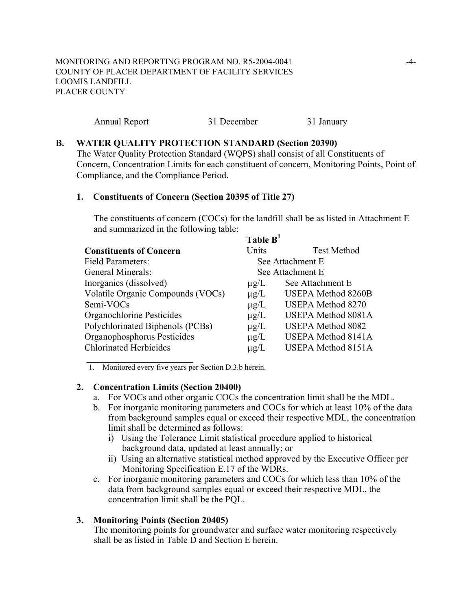| Annual Report | 31 December | 31 January |
|---------------|-------------|------------|
|---------------|-------------|------------|

#### **B. WATER QUALITY PROTECTION STANDARD (Section 20390)**

The Water Quality Protection Standard (WQPS) shall consist of all Constituents of Concern, Concentration Limits for each constituent of concern, Monitoring Points, Point of Compliance, and the Compliance Period.

## **1. Constituents of Concern (Section 20395 of Title 27)**

The constituents of concern (COCs) for the landfill shall be as listed in Attachment E and summarized in the following table: **Table P1** 

|                                   | Table B   |                           |
|-----------------------------------|-----------|---------------------------|
| <b>Constituents of Concern</b>    | Units     | <b>Test Method</b>        |
| <b>Field Parameters:</b>          |           | See Attachment E          |
| General Minerals:                 |           | See Attachment E          |
| Inorganics (dissolved)            | $\mu$ g/L | See Attachment E          |
| Volatile Organic Compounds (VOCs) | $\mu$ g/L | <b>USEPA Method 8260B</b> |
| Semi-VOCs                         | $\mu$ g/L | <b>USEPA Method 8270</b>  |
| Organochlorine Pesticides         | $\mu$ g/L | <b>USEPA Method 8081A</b> |
| Polychlorinated Biphenols (PCBs)  | $\mu$ g/L | <b>USEPA Method 8082</b>  |
| Organophosphorus Pesticides       | $\mu$ g/L | <b>USEPA Method 8141A</b> |
| <b>Chlorinated Herbicides</b>     | $\mu$ g/L | <b>USEPA Method 8151A</b> |
|                                   |           |                           |

1. Monitored every five years per Section D.3.b herein.

## **2. Concentration Limits (Section 20400)**

- a. For VOCs and other organic COCs the concentration limit shall be the MDL.
- b. For inorganic monitoring parameters and COCs for which at least 10% of the data from background samples equal or exceed their respective MDL, the concentration limit shall be determined as follows:
	- i) Using the Tolerance Limit statistical procedure applied to historical background data, updated at least annually; or
	- ii) Using an alternative statistical method approved by the Executive Officer per Monitoring Specification E.17 of the WDRs.
- c. For inorganic monitoring parameters and COCs for which less than 10% of the data from background samples equal or exceed their respective MDL, the concentration limit shall be the PQL.

#### **3. Monitoring Points (Section 20405)**

The monitoring points for groundwater and surface water monitoring respectively shall be as listed in Table D and Section E herein.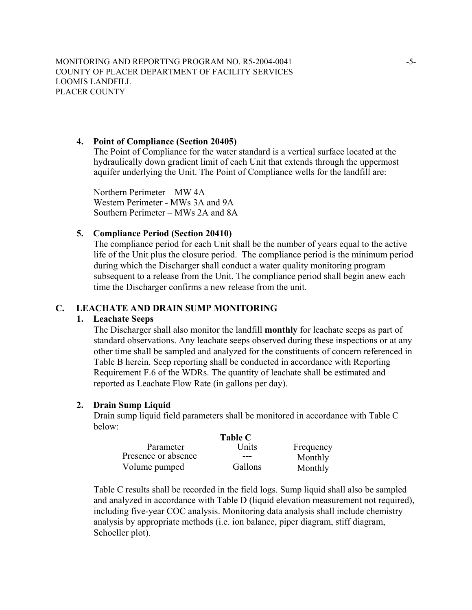MONITORING AND REPORTING PROGRAM NO. R5-2004-0041 -5-COUNTY OF PLACER DEPARTMENT OF FACILITY SERVICES LOOMIS LANDFILL PLACER COUNTY

## **4. Point of Compliance (Section 20405)**

The Point of Compliance for the water standard is a vertical surface located at the hydraulically down gradient limit of each Unit that extends through the uppermost aquifer underlying the Unit. The Point of Compliance wells for the landfill are:

Northern Perimeter – MW 4A Western Perimeter - MWs 3A and 9A Southern Perimeter – MWs 2A and 8A

## **5. Compliance Period (Section 20410)**

The compliance period for each Unit shall be the number of years equal to the active life of the Unit plus the closure period. The compliance period is the minimum period during which the Discharger shall conduct a water quality monitoring program subsequent to a release from the Unit. The compliance period shall begin anew each time the Discharger confirms a new release from the unit.

#### **C. LEACHATE AND DRAIN SUMP MONITORING**

#### **1. Leachate Seeps**

The Discharger shall also monitor the landfill **monthly** for leachate seeps as part of standard observations. Any leachate seeps observed during these inspections or at any other time shall be sampled and analyzed for the constituents of concern referenced in Table B herein. Seep reporting shall be conducted in accordance with Reporting Requirement F.6 of the WDRs. The quantity of leachate shall be estimated and reported as Leachate Flow Rate (in gallons per day).

#### **2. Drain Sump Liquid**

Drain sump liquid field parameters shall be monitored in accordance with Table C below:

|                     | <b>Table C</b> |           |  |
|---------------------|----------------|-----------|--|
| Parameter           | Units          | Frequency |  |
| Presence or absence | ---            | Monthly   |  |
| Volume pumped       | Gallons        | Monthly   |  |

Table C results shall be recorded in the field logs. Sump liquid shall also be sampled and analyzed in accordance with Table D (liquid elevation measurement not required), including five-year COC analysis. Monitoring data analysis shall include chemistry analysis by appropriate methods (i.e. ion balance, piper diagram, stiff diagram, Schoeller plot).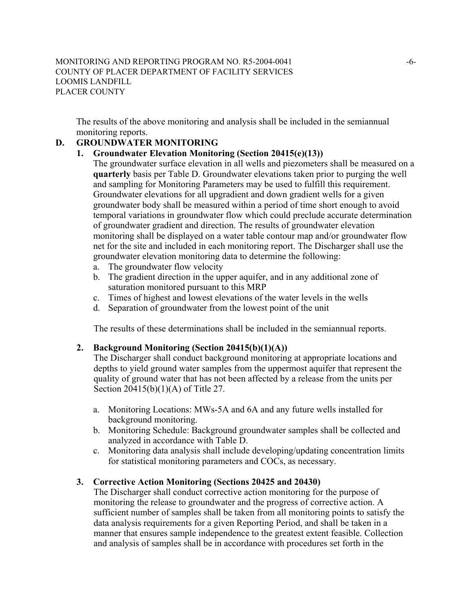The results of the above monitoring and analysis shall be included in the semiannual monitoring reports.

## **D. GROUNDWATER MONITORING**

## **1. Groundwater Elevation Monitoring (Section 20415(e)(13))**

- The groundwater surface elevation in all wells and piezometers shall be measured on a **quarterly** basis per Table D. Groundwater elevations taken prior to purging the well and sampling for Monitoring Parameters may be used to fulfill this requirement. Groundwater elevations for all upgradient and down gradient wells for a given groundwater body shall be measured within a period of time short enough to avoid temporal variations in groundwater flow which could preclude accurate determination of groundwater gradient and direction. The results of groundwater elevation monitoring shall be displayed on a water table contour map and/or groundwater flow net for the site and included in each monitoring report. The Discharger shall use the groundwater elevation monitoring data to determine the following:
- a. The groundwater flow velocity
- b. The gradient direction in the upper aquifer, and in any additional zone of saturation monitored pursuant to this MRP
- c. Times of highest and lowest elevations of the water levels in the wells
- d. Separation of groundwater from the lowest point of the unit

The results of these determinations shall be included in the semiannual reports.

## **2. Background Monitoring (Section 20415(b)(1)(A))**

The Discharger shall conduct background monitoring at appropriate locations and depths to yield ground water samples from the uppermost aquifer that represent the quality of ground water that has not been affected by a release from the units per Section 20415(b)(1)(A) of Title 27.

- a. Monitoring Locations: MWs-5A and 6A and any future wells installed for background monitoring.
- b. Monitoring Schedule: Background groundwater samples shall be collected and analyzed in accordance with Table D.
- c. Monitoring data analysis shall include developing/updating concentration limits for statistical monitoring parameters and COCs, as necessary.

## **3. Corrective Action Monitoring (Sections 20425 and 20430)**

The Discharger shall conduct corrective action monitoring for the purpose of monitoring the release to groundwater and the progress of corrective action. A sufficient number of samples shall be taken from all monitoring points to satisfy the data analysis requirements for a given Reporting Period, and shall be taken in a manner that ensures sample independence to the greatest extent feasible. Collection and analysis of samples shall be in accordance with procedures set forth in the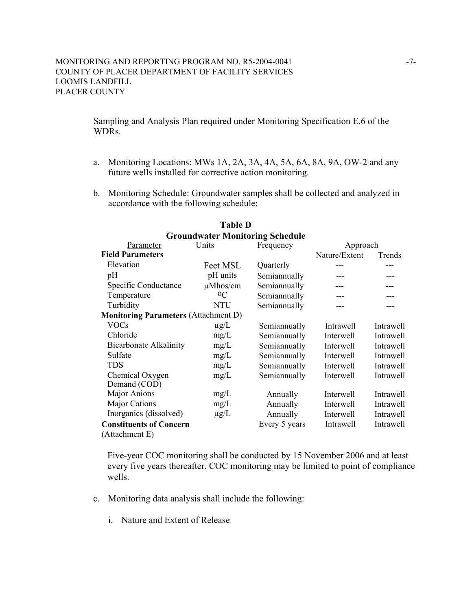Sampling and Analysis Plan required under Monitoring Specification E.6 of the WDRs.

- a. Monitoring Locations: MWs 1A, 2A, 3A, 4A, 5A, 6A, 8A, 9A, OW-2 and any future wells installed for corrective action monitoring.
- b. Monitoring Schedule: Groundwater samples shall be collected and analyzed in accordance with the following schedule:

|                                             |               | <b>Groundwater Monitoring Schedule</b> |               |           |
|---------------------------------------------|---------------|----------------------------------------|---------------|-----------|
| Parameter                                   | Units         | Frequency                              | Approach      |           |
| <b>Field Parameters</b>                     |               |                                        | Nature/Extent | Trends    |
| Elevation                                   | Feet MSL      | Quarterly                              |               |           |
| pH                                          | pH units      | Semiannually                           |               | ---       |
| Specific Conductance                        | $\mu$ Mhos/cm | Semiannually                           |               |           |
| Temperature                                 | $^{0}C$       | Semiannually                           |               |           |
| Turbidity                                   | NTU           | Semiannually                           |               |           |
| <b>Monitoring Parameters (Attachment D)</b> |               |                                        |               |           |
| <b>VOCs</b>                                 | $\mu$ g/L     | Semiannually                           | Intrawell     | Intrawell |
| Chloride                                    | mg/L          | Semiannually                           | Interwell     | Intrawell |
| <b>Bicarbonate Alkalinity</b>               | mg/L          | Semiannually                           | Interwell     | Intrawell |
| Sulfate                                     | mg/L          | Semiannually                           | Interwell     | Intrawell |
| <b>TDS</b>                                  | mg/L          | Semiannually                           | Interwell     | Intrawell |
| Chemical Oxygen                             | mg/L          | Semiannually                           | Interwell     | Intrawell |
| Demand (COD)                                |               |                                        |               |           |
| Major Anions                                | mg/L          | Annually                               | Interwell     | Intrawell |
| Major Cations                               | mg/L          | Annually                               | Interwell     | Intrawell |
| Inorganics (dissolved)                      | $\mu$ g/L     | Annually                               | Interwell     | Intrawell |
| <b>Constituents of Concern</b>              |               | Every 5 years                          | Intrawell     | Intrawell |
| (Attachment E)                              |               |                                        |               |           |

# **Table D**

Five-year COC monitoring shall be conducted by 15 November 2006 and at least every five years thereafter. COC monitoring may be limited to point of compliance wells.

- c. Monitoring data analysis shall include the following:
	- i. Nature and Extent of Release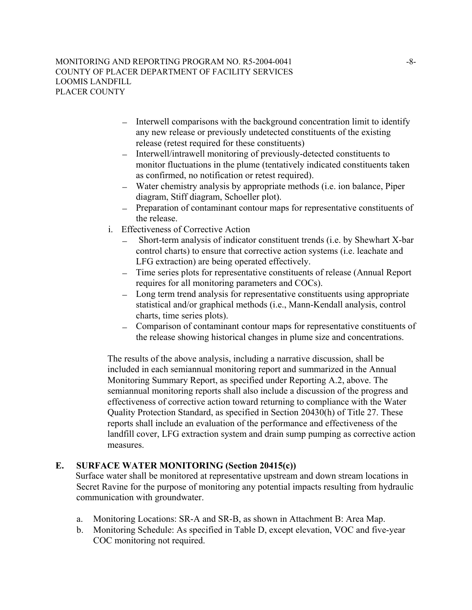#### MONITORING AND REPORTING PROGRAM NO. R5-2004-0041 COUNTY OF PLACER DEPARTMENT OF FACILITY SERVICES LOOMIS LANDFILL PLACER COUNTY

- − Interwell comparisons with the background concentration limit to identify any new release or previously undetected constituents of the existing release (retest required for these constituents)
- − Interwell/intrawell monitoring of previously-detected constituents to monitor fluctuations in the plume (tentatively indicated constituents taken as confirmed, no notification or retest required).
- − Water chemistry analysis by appropriate methods (i.e. ion balance, Piper diagram, Stiff diagram, Schoeller plot).
- − Preparation of contaminant contour maps for representative constituents of the release.
- i. Effectiveness of Corrective Action
	- Short-term analysis of indicator constituent trends (i.e. by Shewhart X-bar control charts) to ensure that corrective action systems (i.e. leachate and LFG extraction) are being operated effectively.
	- − Time series plots for representative constituents of release (Annual Report requires for all monitoring parameters and COCs).
	- − Long term trend analysis for representative constituents using appropriate statistical and/or graphical methods (i.e., Mann-Kendall analysis, control charts, time series plots).
	- − Comparison of contaminant contour maps for representative constituents of the release showing historical changes in plume size and concentrations.

The results of the above analysis, including a narrative discussion, shall be included in each semiannual monitoring report and summarized in the Annual Monitoring Summary Report, as specified under Reporting A.2, above. The semiannual monitoring reports shall also include a discussion of the progress and effectiveness of corrective action toward returning to compliance with the Water Quality Protection Standard, as specified in Section 20430(h) of Title 27. These reports shall include an evaluation of the performance and effectiveness of the landfill cover, LFG extraction system and drain sump pumping as corrective action measures.

# **E. SURFACE WATER MONITORING (Section 20415(c))**

Surface water shall be monitored at representative upstream and down stream locations in Secret Ravine for the purpose of monitoring any potential impacts resulting from hydraulic communication with groundwater.

- a. Monitoring Locations: SR-A and SR-B, as shown in Attachment B: Area Map.
- b. Monitoring Schedule: As specified in Table D, except elevation, VOC and five-year COC monitoring not required.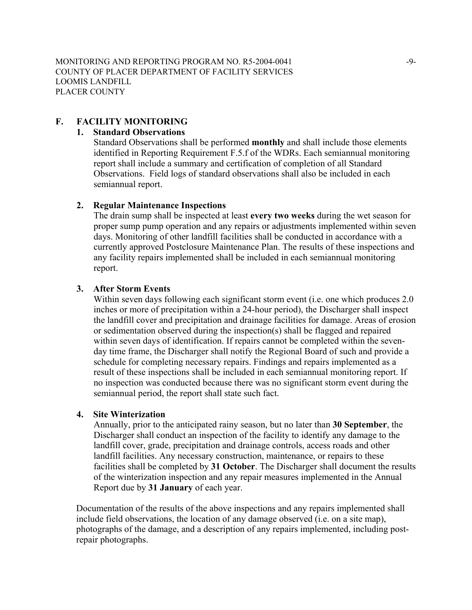## **F. FACILITY MONITORING**

#### **1. Standard Observations**

Standard Observations shall be performed **monthly** and shall include those elements identified in Reporting Requirement F.5.f of the WDRs. Each semiannual monitoring report shall include a summary and certification of completion of all Standard Observations. Field logs of standard observations shall also be included in each semiannual report.

#### **2. Regular Maintenance Inspections**

The drain sump shall be inspected at least **every two weeks** during the wet season for proper sump pump operation and any repairs or adjustments implemented within seven days. Monitoring of other landfill facilities shall be conducted in accordance with a currently approved Postclosure Maintenance Plan. The results of these inspections and any facility repairs implemented shall be included in each semiannual monitoring report.

#### **3. After Storm Events**

Within seven days following each significant storm event (i.e. one which produces 2.0 inches or more of precipitation within a 24-hour period), the Discharger shall inspect the landfill cover and precipitation and drainage facilities for damage. Areas of erosion or sedimentation observed during the inspection(s) shall be flagged and repaired within seven days of identification. If repairs cannot be completed within the sevenday time frame, the Discharger shall notify the Regional Board of such and provide a schedule for completing necessary repairs. Findings and repairs implemented as a result of these inspections shall be included in each semiannual monitoring report. If no inspection was conducted because there was no significant storm event during the semiannual period, the report shall state such fact.

#### **4. Site Winterization**

Annually, prior to the anticipated rainy season, but no later than **30 September**, the Discharger shall conduct an inspection of the facility to identify any damage to the landfill cover, grade, precipitation and drainage controls, access roads and other landfill facilities. Any necessary construction, maintenance, or repairs to these facilities shall be completed by **31 October**. The Discharger shall document the results of the winterization inspection and any repair measures implemented in the Annual Report due by **31 January** of each year.

Documentation of the results of the above inspections and any repairs implemented shall include field observations, the location of any damage observed (i.e. on a site map), photographs of the damage, and a description of any repairs implemented, including postrepair photographs.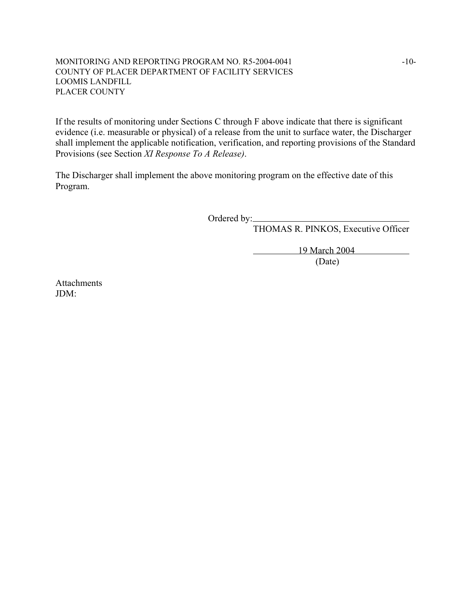#### MONITORING AND REPORTING PROGRAM NO. R5-2004-0041  $-10-$ COUNTY OF PLACER DEPARTMENT OF FACILITY SERVICES LOOMIS LANDFILL PLACER COUNTY

If the results of monitoring under Sections C through F above indicate that there is significant evidence (i.e. measurable or physical) of a release from the unit to surface water, the Discharger shall implement the applicable notification, verification, and reporting provisions of the Standard Provisions (see Section *XI Response To A Release)*.

The Discharger shall implement the above monitoring program on the effective date of this Program.

Ordered by:

THOMAS R. PINKOS, Executive Officer

19 March 2004 (Date)

**Attachments** JDM: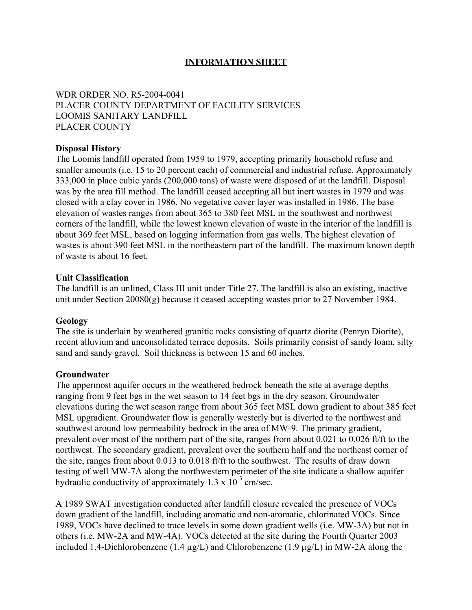# **INFORMATION SHEET**

# WDR ORDER NO. R5-2004-0041 PLACER COUNTY DEPARTMENT OF FACILITY SERVICES LOOMIS SANITARY LANDFILL PLACER COUNTY

## **Disposal History**

The Loomis landfill operated from 1959 to 1979, accepting primarily household refuse and smaller amounts (i.e. 15 to 20 percent each) of commercial and industrial refuse. Approximately 333,000 in place cubic yards (200,000 tons) of waste were disposed of at the landfill. Disposal was by the area fill method. The landfill ceased accepting all but inert wastes in 1979 and was closed with a clay cover in 1986. No vegetative cover layer was installed in 1986. The base elevation of wastes ranges from about 365 to 380 feet MSL in the southwest and northwest corners of the landfill, while the lowest known elevation of waste in the interior of the landfill is about 369 feet MSL, based on logging information from gas wells. The highest elevation of wastes is about 390 feet MSL in the northeastern part of the landfill. The maximum known depth of waste is about 16 feet.

#### **Unit Classification**

The landfill is an unlined, Class III unit under Title 27. The landfill is also an existing, inactive unit under Section 20080(g) because it ceased accepting wastes prior to 27 November 1984.

#### **Geology**

The site is underlain by weathered granitic rocks consisting of quartz diorite (Penryn Diorite), recent alluvium and unconsolidated terrace deposits. Soils primarily consist of sandy loam, silty sand and sandy gravel. Soil thickness is between 15 and 60 inches.

#### **Groundwater**

The uppermost aquifer occurs in the weathered bedrock beneath the site at average depths ranging from 9 feet bgs in the wet season to 14 feet bgs in the dry season. Groundwater elevations during the wet season range from about 365 feet MSL down gradient to about 385 feet MSL upgradient. Groundwater flow is generally westerly but is diverted to the northwest and southwest around low permeability bedrock in the area of MW-9. The primary gradient, prevalent over most of the northern part of the site, ranges from about 0.021 to 0.026 ft/ft to the northwest. The secondary gradient, prevalent over the southern half and the northeast corner of the site, ranges from about 0.013 to 0.018 ft/ft to the southwest. The results of draw down testing of well MW-7A along the northwestern perimeter of the site indicate a shallow aquifer hydraulic conductivity of approximately  $1.3 \times 10^{-3}$  cm/sec.

A 1989 SWAT investigation conducted after landfill closure revealed the presence of VOCs down gradient of the landfill, including aromatic and non-aromatic, chlorinated VOCs. Since 1989, VOCs have declined to trace levels in some down gradient wells (i.e. MW-3A) but not in others (i.e. MW-2A and MW-4A). VOCs detected at the site during the Fourth Quarter 2003 included 1.4-Dichlorobenzene (1.4  $\mu$ g/L) and Chlorobenzene (1.9  $\mu$ g/L) in MW-2A along the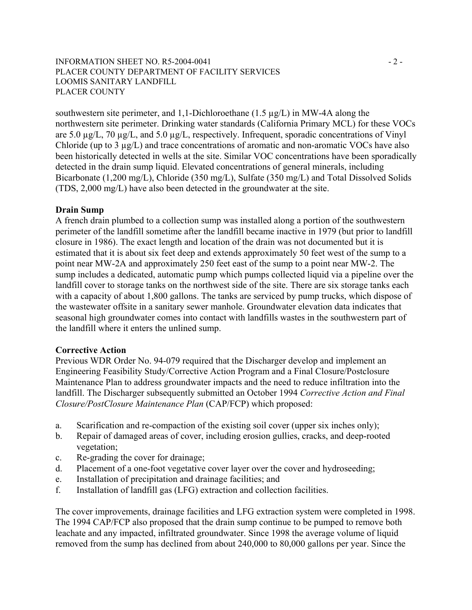## INFORMATION SHEET NO. R5-2004-0041 - 2 -PLACER COUNTY DEPARTMENT OF FACILITY SERVICES LOOMIS SANITARY LANDFILL PLACER COUNTY

southwestern site perimeter, and 1,1-Dichloroethane (1.5  $\mu$ g/L) in MW-4A along the northwestern site perimeter. Drinking water standards (California Primary MCL) for these VOCs are 5.0 µg/L, 70 µg/L, and 5.0 µg/L, respectively. Infrequent, sporadic concentrations of Vinyl Chloride (up to 3 µg/L) and trace concentrations of aromatic and non-aromatic VOCs have also been historically detected in wells at the site. Similar VOC concentrations have been sporadically detected in the drain sump liquid. Elevated concentrations of general minerals, including Bicarbonate (1,200 mg/L), Chloride (350 mg/L), Sulfate (350 mg/L) and Total Dissolved Solids (TDS, 2,000 mg/L) have also been detected in the groundwater at the site.

#### **Drain Sump**

A french drain plumbed to a collection sump was installed along a portion of the southwestern perimeter of the landfill sometime after the landfill became inactive in 1979 (but prior to landfill closure in 1986). The exact length and location of the drain was not documented but it is estimated that it is about six feet deep and extends approximately 50 feet west of the sump to a point near MW-2A and approximately 250 feet east of the sump to a point near MW-2. The sump includes a dedicated, automatic pump which pumps collected liquid via a pipeline over the landfill cover to storage tanks on the northwest side of the site. There are six storage tanks each with a capacity of about 1,800 gallons. The tanks are serviced by pump trucks, which dispose of the wastewater offsite in a sanitary sewer manhole. Groundwater elevation data indicates that seasonal high groundwater comes into contact with landfills wastes in the southwestern part of the landfill where it enters the unlined sump.

#### **Corrective Action**

Previous WDR Order No. 94-079 required that the Discharger develop and implement an Engineering Feasibility Study/Corrective Action Program and a Final Closure/Postclosure Maintenance Plan to address groundwater impacts and the need to reduce infiltration into the landfill. The Discharger subsequently submitted an October 1994 *Corrective Action and Final Closure/PostClosure Maintenance Plan* (CAP/FCP) which proposed:

- a. Scarification and re-compaction of the existing soil cover (upper six inches only);
- b. Repair of damaged areas of cover, including erosion gullies, cracks, and deep-rooted vegetation;
- c. Re-grading the cover for drainage;
- d. Placement of a one-foot vegetative cover layer over the cover and hydroseeding;
- e. Installation of precipitation and drainage facilities; and
- f. Installation of landfill gas (LFG) extraction and collection facilities.

The cover improvements, drainage facilities and LFG extraction system were completed in 1998. The 1994 CAP/FCP also proposed that the drain sump continue to be pumped to remove both leachate and any impacted, infiltrated groundwater. Since 1998 the average volume of liquid removed from the sump has declined from about 240,000 to 80,000 gallons per year. Since the